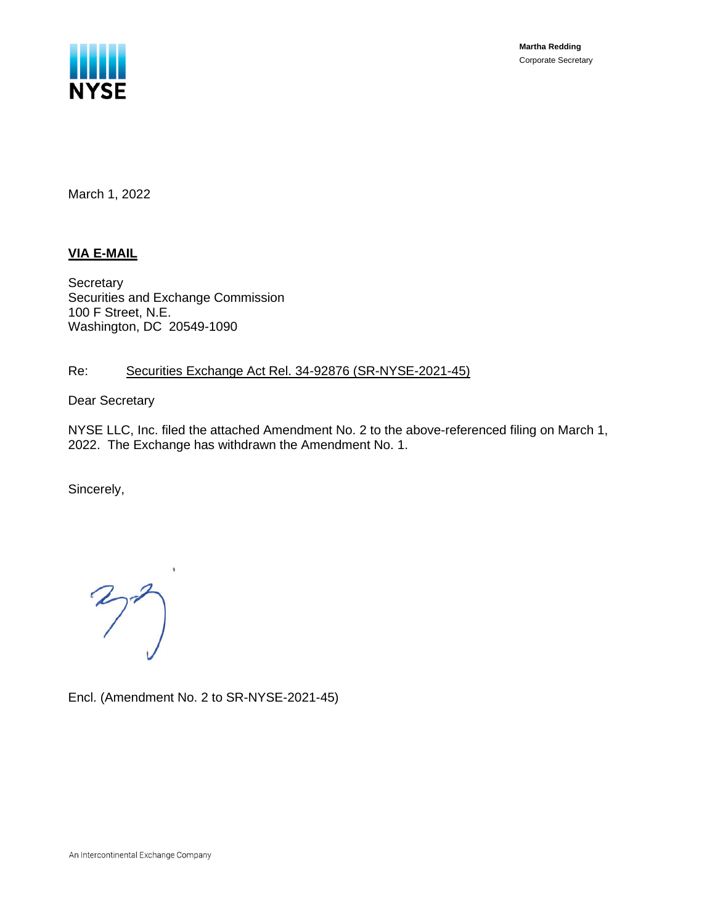

**Martha Redding** Corporate Secretary

March 1, 2022

### **VIA E-MAIL**

**Secretary** Securities and Exchange Commission 100 F Street, N.E. Washington, DC 20549-1090

### Re: Securities Exchange Act Rel. 34-92876 (SR-NYSE-2021-45)

Dear Secretary

NYSE LLC, Inc. filed the attached Amendment No. 2 to the above-referenced filing on March 1, 2022. The Exchange has withdrawn the Amendment No. 1.

Sincerely,

 $272$ 

Encl. (Amendment No. 2 to SR-NYSE-2021-45)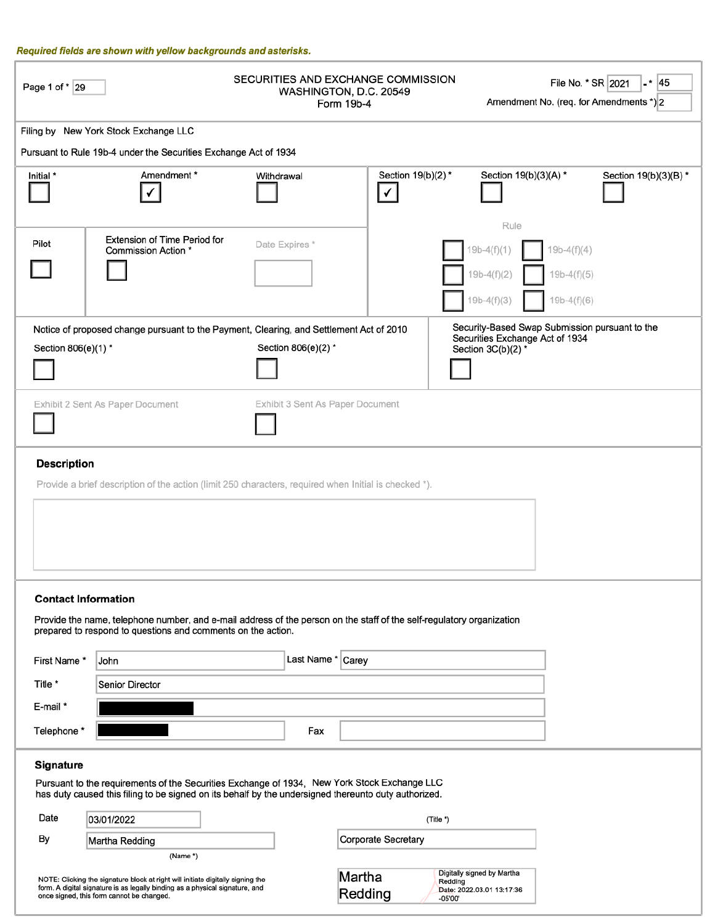#### Required fields are shown with yellow backgrounds and asterisks.

| Page 1 of * 29                                                                                                                                                                                                                                  |                                                                                                                                                                                                      | SECURITIES AND EXCHANGE COMMISSION | WASHINGTON, D.C. 20549<br>Form 19b-4 |                                                                               | File No. * SR 2021<br>-* 45<br>Amendment No. (req. for Amendments *) 2 |  |
|-------------------------------------------------------------------------------------------------------------------------------------------------------------------------------------------------------------------------------------------------|------------------------------------------------------------------------------------------------------------------------------------------------------------------------------------------------------|------------------------------------|--------------------------------------|-------------------------------------------------------------------------------|------------------------------------------------------------------------|--|
|                                                                                                                                                                                                                                                 | Filing by New York Stock Exchange LLC                                                                                                                                                                |                                    |                                      |                                                                               |                                                                        |  |
|                                                                                                                                                                                                                                                 | Pursuant to Rule 19b-4 under the Securities Exchange Act of 1934                                                                                                                                     |                                    |                                      |                                                                               |                                                                        |  |
| Initial *                                                                                                                                                                                                                                       | Amendment*                                                                                                                                                                                           | Withdrawal                         | Section 19(b)(2)*<br>✓               | Section 19(b)(3)(A) *                                                         | Section 19(b)(3)(B) *                                                  |  |
| Pilot                                                                                                                                                                                                                                           | <b>Extension of Time Period for</b><br>Commission Action *                                                                                                                                           | Date Expires*                      |                                      | Rule<br>$19b-4(f)(1)$<br>$19b-4(f)(2)$<br>$19b-4(f)(3)$                       | $19b-4(f)(4)$<br>$19b-4(f)(5)$<br>$19b-4(f)(6)$                        |  |
| Security-Based Swap Submission pursuant to the<br>Notice of proposed change pursuant to the Payment, Clearing, and Settlement Act of 2010<br>Securities Exchange Act of 1934<br>Section 806(e)(2) *<br>Section 806(e)(1) *<br>Section 3C(b)(2)* |                                                                                                                                                                                                      |                                    |                                      |                                                                               |                                                                        |  |
| Exhibit 3 Sent As Paper Document<br>Exhibit 2 Sent As Paper Document                                                                                                                                                                            |                                                                                                                                                                                                      |                                    |                                      |                                                                               |                                                                        |  |
| <b>Description</b>                                                                                                                                                                                                                              | Provide a brief description of the action (limit 250 characters, required when Initial is checked *).                                                                                                |                                    |                                      |                                                                               |                                                                        |  |
| <b>Contact Information</b><br>Provide the name, telephone number, and e-mail address of the person on the staff of the self-regulatory organization<br>prepared to respond to questions and comments on the action.                             |                                                                                                                                                                                                      |                                    |                                      |                                                                               |                                                                        |  |
| First Name*                                                                                                                                                                                                                                     | John                                                                                                                                                                                                 | Last Name * Carey                  |                                      |                                                                               |                                                                        |  |
| Title *                                                                                                                                                                                                                                         | <b>Senior Director</b>                                                                                                                                                                               |                                    |                                      |                                                                               |                                                                        |  |
| E-mail *                                                                                                                                                                                                                                        |                                                                                                                                                                                                      |                                    |                                      |                                                                               |                                                                        |  |
| Telephone *                                                                                                                                                                                                                                     |                                                                                                                                                                                                      | Fax                                |                                      |                                                                               |                                                                        |  |
|                                                                                                                                                                                                                                                 |                                                                                                                                                                                                      |                                    |                                      |                                                                               |                                                                        |  |
| Signature                                                                                                                                                                                                                                       | Pursuant to the requirements of the Securities Exchange of 1934, New York Stock Exchange LLC<br>has duty caused this filing to be signed on its behalf by the undersigned thereunto duty authorized. |                                    |                                      |                                                                               |                                                                        |  |
| Date                                                                                                                                                                                                                                            | 03/01/2022                                                                                                                                                                                           |                                    |                                      | (Title *)                                                                     |                                                                        |  |
| By                                                                                                                                                                                                                                              | Martha Redding                                                                                                                                                                                       |                                    | Corporate Secretary                  |                                                                               |                                                                        |  |
| (Name *)<br>Martha<br>NOTE: Clicking the signature block at right will initiate digitally signing the<br>form. A digital signature is as legally binding as a physical signature, and<br>Redding<br>once signed, this form cannot be changed.   |                                                                                                                                                                                                      |                                    |                                      | Digitally signed by Martha<br>Redding<br>Date: 2022.03.01 13:17:36<br>-05'00' |                                                                        |  |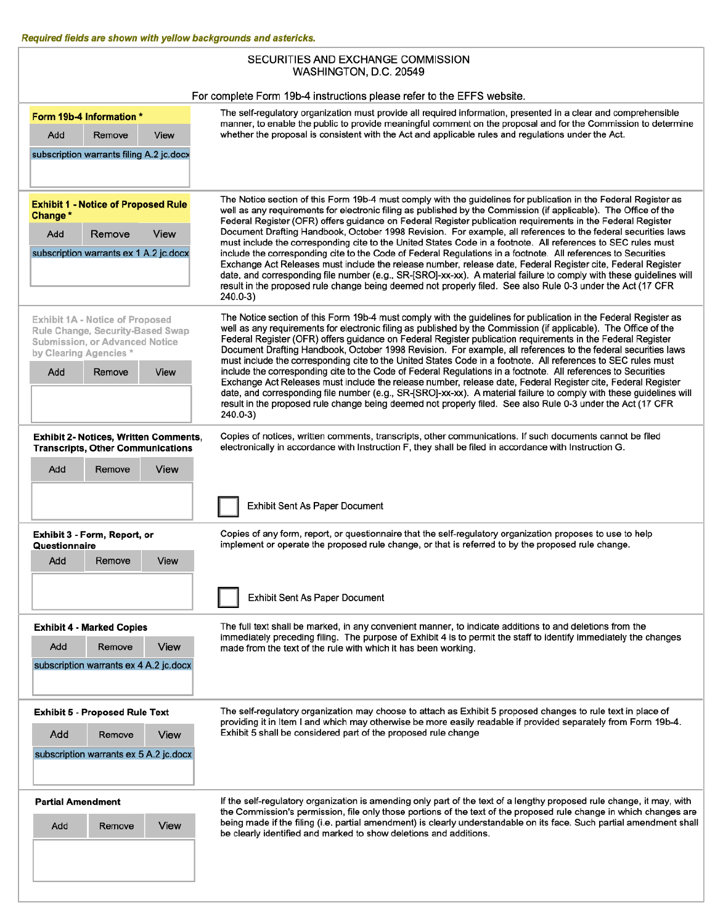ľ

| SECURITIES AND EXCHANGE COMMISSION<br>WASHINGTON, D.C. 20549                      |                                                                                                                                                                                                                                                                                                                                                                |  |  |  |  |  |
|-----------------------------------------------------------------------------------|----------------------------------------------------------------------------------------------------------------------------------------------------------------------------------------------------------------------------------------------------------------------------------------------------------------------------------------------------------------|--|--|--|--|--|
|                                                                                   |                                                                                                                                                                                                                                                                                                                                                                |  |  |  |  |  |
|                                                                                   | For complete Form 19b-4 instructions please refer to the EFFS website.                                                                                                                                                                                                                                                                                         |  |  |  |  |  |
| Form 19b-4 Information *<br>Remove<br>Add<br>View                                 | The self-regulatory organization must provide all required information, presented in a clear and comprehensible<br>manner, to enable the public to provide meaningful comment on the proposal and for the Commission to determine<br>whether the proposal is consistent with the Act and applicable rules and regulations under the Act.                       |  |  |  |  |  |
| subscription warrants filing A.2 jc.docx                                          |                                                                                                                                                                                                                                                                                                                                                                |  |  |  |  |  |
|                                                                                   |                                                                                                                                                                                                                                                                                                                                                                |  |  |  |  |  |
|                                                                                   |                                                                                                                                                                                                                                                                                                                                                                |  |  |  |  |  |
| <b>Exhibit 1 - Notice of Proposed Rule</b><br>Change*                             | The Notice section of this Form 19b-4 must comply with the guidelines for publication in the Federal Register as<br>well as any requirements for electronic filing as published by the Commission (if applicable). The Office of the<br>Federal Register (OFR) offers guidance on Federal Register publication requirements in the Federal Register            |  |  |  |  |  |
| View<br>Add<br>Remove                                                             | Document Drafting Handbook, October 1998 Revision. For example, all references to the federal securities laws                                                                                                                                                                                                                                                  |  |  |  |  |  |
| subscription warrants ex 1 A.2 jc.docx                                            | must include the corresponding cite to the United States Code in a footnote. All references to SEC rules must<br>include the corresponding cite to the Code of Federal Regulations in a footnote. All references to Securities                                                                                                                                 |  |  |  |  |  |
|                                                                                   | Exchange Act Releases must include the release number, release date, Federal Register cite, Federal Register<br>date, and corresponding file number (e.g., SR-[SRO]-xx-xx). A material failure to comply with these guidelines will<br>result in the proposed rule change being deemed not properly filed. See also Rule 0-3 under the Act (17 CFR<br>240.0-3) |  |  |  |  |  |
|                                                                                   |                                                                                                                                                                                                                                                                                                                                                                |  |  |  |  |  |
| Exhibit 1A - Notice of Proposed<br>Rule Change, Security-Based Swap               | The Notice section of this Form 19b-4 must comply with the guidelines for publication in the Federal Register as<br>well as any requirements for electronic filing as published by the Commission (if applicable). The Office of the                                                                                                                           |  |  |  |  |  |
| Submission, or Advanced Notice<br>by Clearing Agencies *                          | Federal Register (OFR) offers guidance on Federal Register publication requirements in the Federal Register<br>Document Drafting Handbook, October 1998 Revision. For example, all references to the federal securities laws                                                                                                                                   |  |  |  |  |  |
|                                                                                   | must include the corresponding cite to the United States Code in a footnote. All references to SEC rules must                                                                                                                                                                                                                                                  |  |  |  |  |  |
| Add<br>Remove<br>View                                                             | include the corresponding cite to the Code of Federal Regulations in a footnote. All references to Securities<br>Exchange Act Releases must include the release number, release date, Federal Register cite, Federal Register                                                                                                                                  |  |  |  |  |  |
|                                                                                   | date, and corresponding file number (e.g., SR-[SRO]-xx-xx). A material failure to comply with these guidelines will<br>result in the proposed rule change being deemed not properly filed. See also Rule 0-3 under the Act (17 CFR<br>240.0-3)                                                                                                                 |  |  |  |  |  |
| Exhibit 2- Notices, Written Comments,<br><b>Transcripts, Other Communications</b> | Copies of notices, written comments, transcripts, other communications. If such documents cannot be filed<br>electronically in accordance with Instruction F, they shall be filed in accordance with Instruction G.                                                                                                                                            |  |  |  |  |  |
| Add<br>View<br>Remove                                                             |                                                                                                                                                                                                                                                                                                                                                                |  |  |  |  |  |
|                                                                                   |                                                                                                                                                                                                                                                                                                                                                                |  |  |  |  |  |
|                                                                                   | Exhibit Sent As Paper Document                                                                                                                                                                                                                                                                                                                                 |  |  |  |  |  |
|                                                                                   | Copies of any form, report, or questionnaire that the self-regulatory organization proposes to use to help                                                                                                                                                                                                                                                     |  |  |  |  |  |
| Exhibit 3 - Form, Report, or<br>Questionnaire                                     | implement or operate the proposed rule change, or that is referred to by the proposed rule change.                                                                                                                                                                                                                                                             |  |  |  |  |  |
| Add<br>Remove<br>View                                                             |                                                                                                                                                                                                                                                                                                                                                                |  |  |  |  |  |
|                                                                                   |                                                                                                                                                                                                                                                                                                                                                                |  |  |  |  |  |
|                                                                                   | Exhibit Sent As Paper Document                                                                                                                                                                                                                                                                                                                                 |  |  |  |  |  |
| <b>Exhibit 4 - Marked Copies</b>                                                  | The full text shall be marked, in any convenient manner, to indicate additions to and deletions from the                                                                                                                                                                                                                                                       |  |  |  |  |  |
| View<br>Add<br>Remove                                                             | immediately preceding filing. The purpose of Exhibit 4 is to permit the staff to identify immediately the changes<br>made from the text of the rule with which it has been working.                                                                                                                                                                            |  |  |  |  |  |
| subscription warrants ex 4 A.2 jc.docx                                            |                                                                                                                                                                                                                                                                                                                                                                |  |  |  |  |  |
|                                                                                   |                                                                                                                                                                                                                                                                                                                                                                |  |  |  |  |  |
|                                                                                   |                                                                                                                                                                                                                                                                                                                                                                |  |  |  |  |  |
| <b>Exhibit 5 - Proposed Rule Text</b>                                             | The self-regulatory organization may choose to attach as Exhibit 5 proposed changes to rule text in place of<br>providing it in Item I and which may otherwise be more easily readable if provided separately from Form 19b-4.                                                                                                                                 |  |  |  |  |  |
| Add<br>Remove<br>View                                                             | Exhibit 5 shall be considered part of the proposed rule change                                                                                                                                                                                                                                                                                                 |  |  |  |  |  |
| subscription warrants ex 5 A.2 jc.docx                                            |                                                                                                                                                                                                                                                                                                                                                                |  |  |  |  |  |
| <b>Partial Amendment</b>                                                          | If the self-regulatory organization is amending only part of the text of a lengthy proposed rule change, it may, with                                                                                                                                                                                                                                          |  |  |  |  |  |
|                                                                                   | the Commission's permission, file only those portions of the text of the proposed rule change in which changes are<br>being made if the filing (i.e. partial amendment) is clearly understandable on its face. Such partial amendment shall                                                                                                                    |  |  |  |  |  |
| View<br>Add<br>Remove                                                             | be clearly identified and marked to show deletions and additions.                                                                                                                                                                                                                                                                                              |  |  |  |  |  |
|                                                                                   |                                                                                                                                                                                                                                                                                                                                                                |  |  |  |  |  |
|                                                                                   |                                                                                                                                                                                                                                                                                                                                                                |  |  |  |  |  |
|                                                                                   |                                                                                                                                                                                                                                                                                                                                                                |  |  |  |  |  |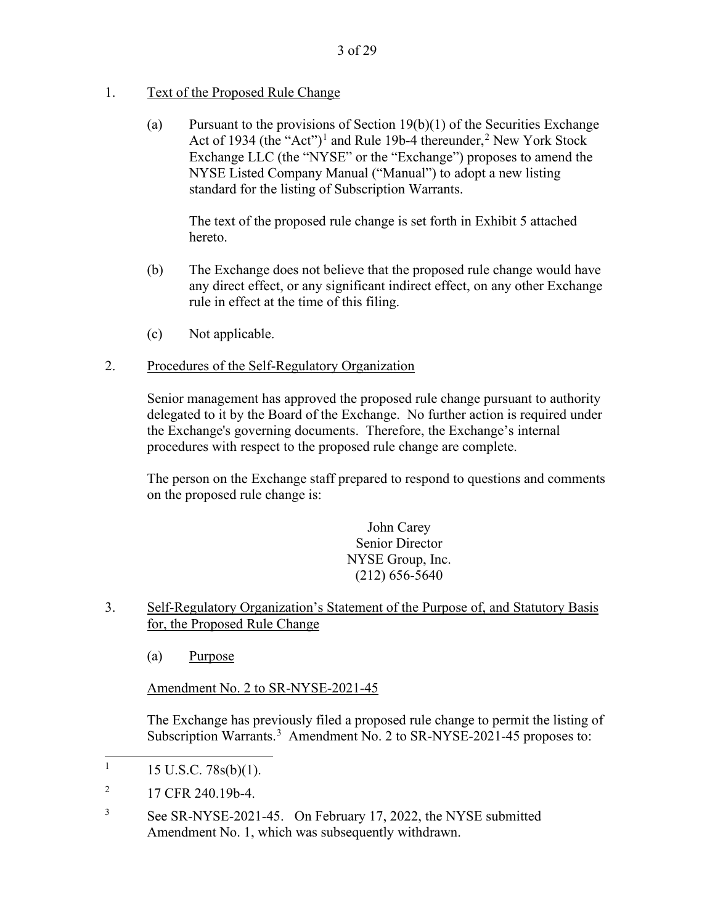## 1. Text of the Proposed Rule Change

(a) Pursuant to the provisions of Section  $19(b)(1)$  of the Securities Exchange Act of 1934 (the "Act")<sup>1</sup> and Rule 19b-4 thereunder,<sup>2</sup> New York Stock Exchange LLC (the "NYSE" or the "Exchange") proposes to amend the NYSE Listed Company Manual ("Manual") to adopt a new listing standard for the listing of Subscription Warrants.

The text of the proposed rule change is set forth in Exhibit 5 attached hereto.

- (b) The Exchange does not believe that the proposed rule change would have any direct effect, or any significant indirect effect, on any other Exchange rule in effect at the time of this filing.
- (c) Not applicable.

## 2. Procedures of the Self-Regulatory Organization

Senior management has approved the proposed rule change pursuant to authority delegated to it by the Board of the Exchange. No further action is required under the Exchange's governing documents. Therefore, the Exchange's internal procedures with respect to the proposed rule change are complete.

The person on the Exchange staff prepared to respond to questions and comments on the proposed rule change is:

> John Carey Senior Director NYSE Group, Inc. (212) 656-5640

- 3. Self-Regulatory Organization's Statement of the Purpose of, and Statutory Basis for, the Proposed Rule Change
	- (a) Purpose

Amendment No. 2 to SR-NYSE-2021-45

The Exchange has previously filed a proposed rule change to permit the listing of Subscription Warrants.<sup>3</sup> Amendment No. 2 to SR-NYSE-2021-45 proposes to:

3 See SR-NYSE-2021-45. On February 17, 2022, the NYSE submitted Amendment No. 1, which was subsequently withdrawn.

<sup>1</sup> 15 U.S.C. 78s(b)(1).

<sup>2</sup> 17 CFR 240.19b-4.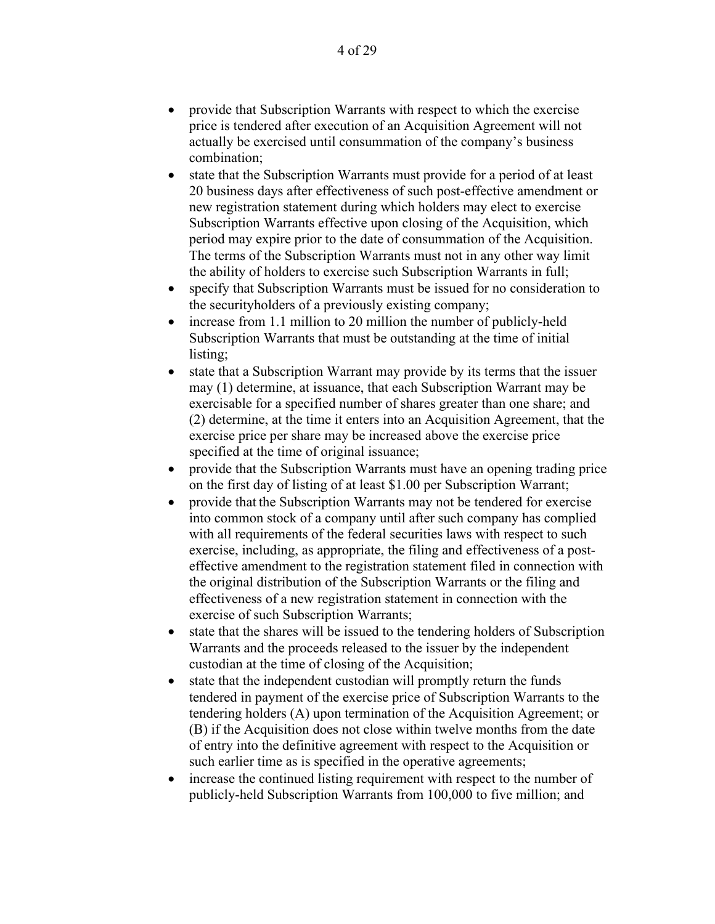- provide that Subscription Warrants with respect to which the exercise price is tendered after execution of an Acquisition Agreement will not actually be exercised until consummation of the company's business combination;
- state that the Subscription Warrants must provide for a period of at least 20 business days after effectiveness of such post-effective amendment or new registration statement during which holders may elect to exercise Subscription Warrants effective upon closing of the Acquisition, which period may expire prior to the date of consummation of the Acquisition. The terms of the Subscription Warrants must not in any other way limit the ability of holders to exercise such Subscription Warrants in full;
- specify that Subscription Warrants must be issued for no consideration to the securityholders of a previously existing company;
- increase from 1.1 million to 20 million the number of publicly-held Subscription Warrants that must be outstanding at the time of initial listing;
- state that a Subscription Warrant may provide by its terms that the issuer may (1) determine, at issuance, that each Subscription Warrant may be exercisable for a specified number of shares greater than one share; and (2) determine, at the time it enters into an Acquisition Agreement, that the exercise price per share may be increased above the exercise price specified at the time of original issuance;
- provide that the Subscription Warrants must have an opening trading price on the first day of listing of at least \$1.00 per Subscription Warrant;
- provide that the Subscription Warrants may not be tendered for exercise into common stock of a company until after such company has complied with all requirements of the federal securities laws with respect to such exercise, including, as appropriate, the filing and effectiveness of a posteffective amendment to the registration statement filed in connection with the original distribution of the Subscription Warrants or the filing and effectiveness of a new registration statement in connection with the exercise of such Subscription Warrants;
- state that the shares will be issued to the tendering holders of Subscription Warrants and the proceeds released to the issuer by the independent custodian at the time of closing of the Acquisition;
- state that the independent custodian will promptly return the funds tendered in payment of the exercise price of Subscription Warrants to the tendering holders (A) upon termination of the Acquisition Agreement; or (B) if the Acquisition does not close within twelve months from the date of entry into the definitive agreement with respect to the Acquisition or such earlier time as is specified in the operative agreements;
- increase the continued listing requirement with respect to the number of publicly-held Subscription Warrants from 100,000 to five million; and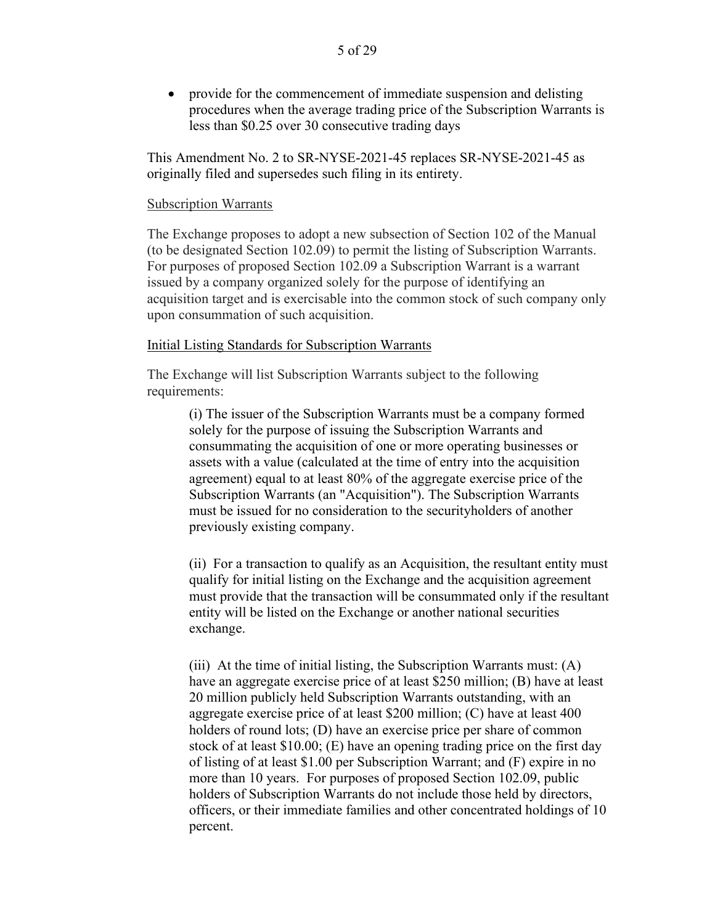• provide for the commencement of immediate suspension and delisting procedures when the average trading price of the Subscription Warrants is less than \$0.25 over 30 consecutive trading days

This Amendment No. 2 to SR-NYSE-2021-45 replaces SR-NYSE-2021-45 as originally filed and supersedes such filing in its entirety.

#### Subscription Warrants

The Exchange proposes to adopt a new subsection of Section 102 of the Manual (to be designated Section 102.09) to permit the listing of Subscription Warrants. For purposes of proposed Section 102.09 a Subscription Warrant is a warrant issued by a company organized solely for the purpose of identifying an acquisition target and is exercisable into the common stock of such company only upon consummation of such acquisition.

#### Initial Listing Standards for Subscription Warrants

The Exchange will list Subscription Warrants subject to the following requirements:

> (i) The issuer of the Subscription Warrants must be a company formed solely for the purpose of issuing the Subscription Warrants and consummating the acquisition of one or more operating businesses or assets with a value (calculated at the time of entry into the acquisition agreement) equal to at least 80% of the aggregate exercise price of the Subscription Warrants (an "Acquisition"). The Subscription Warrants must be issued for no consideration to the securityholders of another previously existing company.

(ii) For a transaction to qualify as an Acquisition, the resultant entity must qualify for initial listing on the Exchange and the acquisition agreement must provide that the transaction will be consummated only if the resultant entity will be listed on the Exchange or another national securities exchange.

(iii) At the time of initial listing, the Subscription Warrants must: (A) have an aggregate exercise price of at least \$250 million; (B) have at least 20 million publicly held Subscription Warrants outstanding, with an aggregate exercise price of at least \$200 million; (C) have at least 400 holders of round lots; (D) have an exercise price per share of common stock of at least \$10.00; (E) have an opening trading price on the first day of listing of at least \$1.00 per Subscription Warrant; and (F) expire in no more than 10 years. For purposes of proposed Section 102.09, public holders of Subscription Warrants do not include those held by directors, officers, or their immediate families and other concentrated holdings of 10 percent.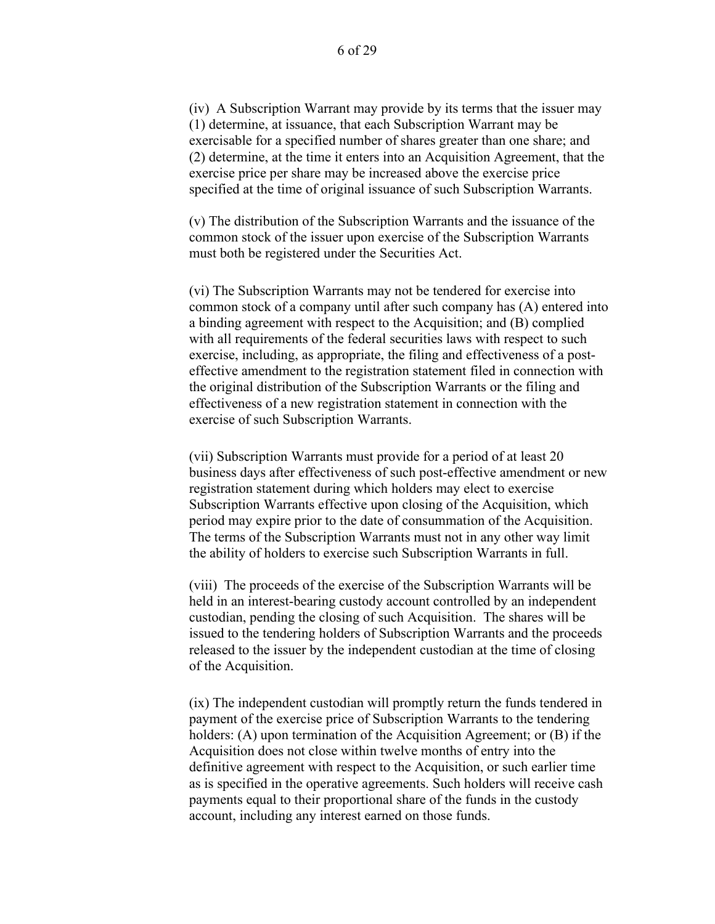(iv) A Subscription Warrant may provide by its terms that the issuer may (1) determine, at issuance, that each Subscription Warrant may be exercisable for a specified number of shares greater than one share; and (2) determine, at the time it enters into an Acquisition Agreement, that the exercise price per share may be increased above the exercise price specified at the time of original issuance of such Subscription Warrants.

(v) The distribution of the Subscription Warrants and the issuance of the common stock of the issuer upon exercise of the Subscription Warrants must both be registered under the Securities Act.

(vi) The Subscription Warrants may not be tendered for exercise into common stock of a company until after such company has (A) entered into a binding agreement with respect to the Acquisition; and (B) complied with all requirements of the federal securities laws with respect to such exercise, including, as appropriate, the filing and effectiveness of a posteffective amendment to the registration statement filed in connection with the original distribution of the Subscription Warrants or the filing and effectiveness of a new registration statement in connection with the exercise of such Subscription Warrants.

(vii) Subscription Warrants must provide for a period of at least 20 business days after effectiveness of such post-effective amendment or new registration statement during which holders may elect to exercise Subscription Warrants effective upon closing of the Acquisition, which period may expire prior to the date of consummation of the Acquisition. The terms of the Subscription Warrants must not in any other way limit the ability of holders to exercise such Subscription Warrants in full.

(viii) The proceeds of the exercise of the Subscription Warrants will be held in an interest-bearing custody account controlled by an independent custodian, pending the closing of such Acquisition. The shares will be issued to the tendering holders of Subscription Warrants and the proceeds released to the issuer by the independent custodian at the time of closing of the Acquisition.

(ix) The independent custodian will promptly return the funds tendered in payment of the exercise price of Subscription Warrants to the tendering holders: (A) upon termination of the Acquisition Agreement; or (B) if the Acquisition does not close within twelve months of entry into the definitive agreement with respect to the Acquisition, or such earlier time as is specified in the operative agreements. Such holders will receive cash payments equal to their proportional share of the funds in the custody account, including any interest earned on those funds.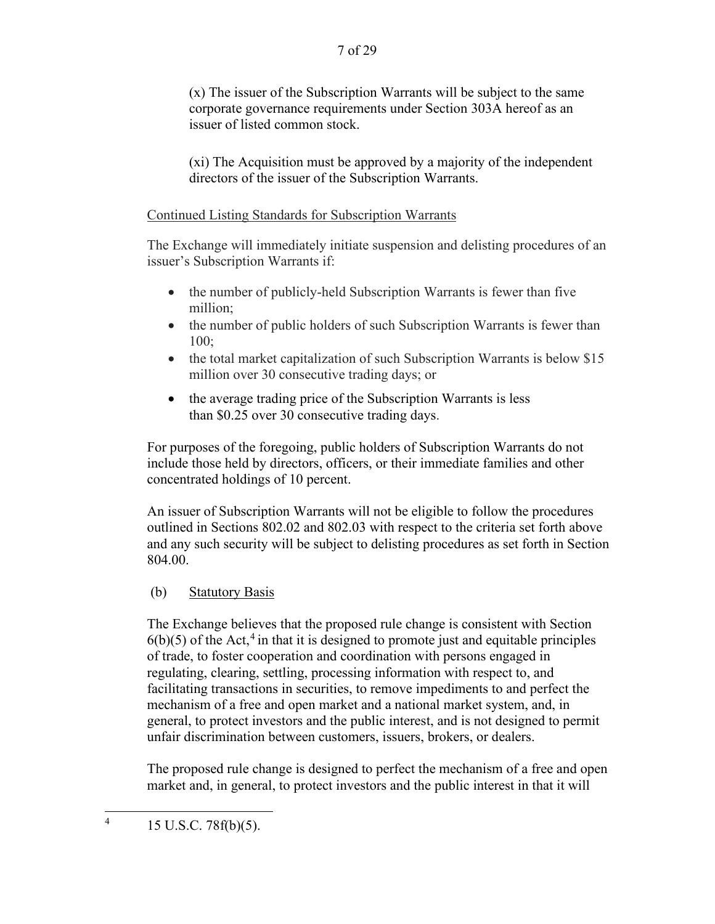(x) The issuer of the Subscription Warrants will be subject to the same corporate governance requirements under Section 303A hereof as an issuer of listed common stock.

(xi) The Acquisition must be approved by a majority of the independent directors of the issuer of the Subscription Warrants.

# Continued Listing Standards for Subscription Warrants

The Exchange will immediately initiate suspension and delisting procedures of an issuer's Subscription Warrants if:

- the number of publicly-held Subscription Warrants is fewer than five million;
- the number of public holders of such Subscription Warrants is fewer than 100;
- the total market capitalization of such Subscription Warrants is below \$15 million over 30 consecutive trading days; or
- the average trading price of the Subscription Warrants is less than \$0.25 over 30 consecutive trading days.

For purposes of the foregoing, public holders of Subscription Warrants do not include those held by directors, officers, or their immediate families and other concentrated holdings of 10 percent.

An issuer of Subscription Warrants will not be eligible to follow the procedures outlined in Sections 802.02 and 802.03 with respect to the criteria set forth above and any such security will be subject to delisting procedures as set forth in Section 804.00.

# (b) Statutory Basis

The Exchange believes that the proposed rule change is consistent with Section  $6(b)(5)$  of the Act,<sup>4</sup> in that it is designed to promote just and equitable principles of trade, to foster cooperation and coordination with persons engaged in regulating, clearing, settling, processing information with respect to, and facilitating transactions in securities, to remove impediments to and perfect the mechanism of a free and open market and a national market system, and, in general, to protect investors and the public interest, and is not designed to permit unfair discrimination between customers, issuers, brokers, or dealers.

The proposed rule change is designed to perfect the mechanism of a free and open market and, in general, to protect investors and the public interest in that it will

 $4 \qquad 15 \text{ U.S.C. } 78 \text{ f(b)}(5).$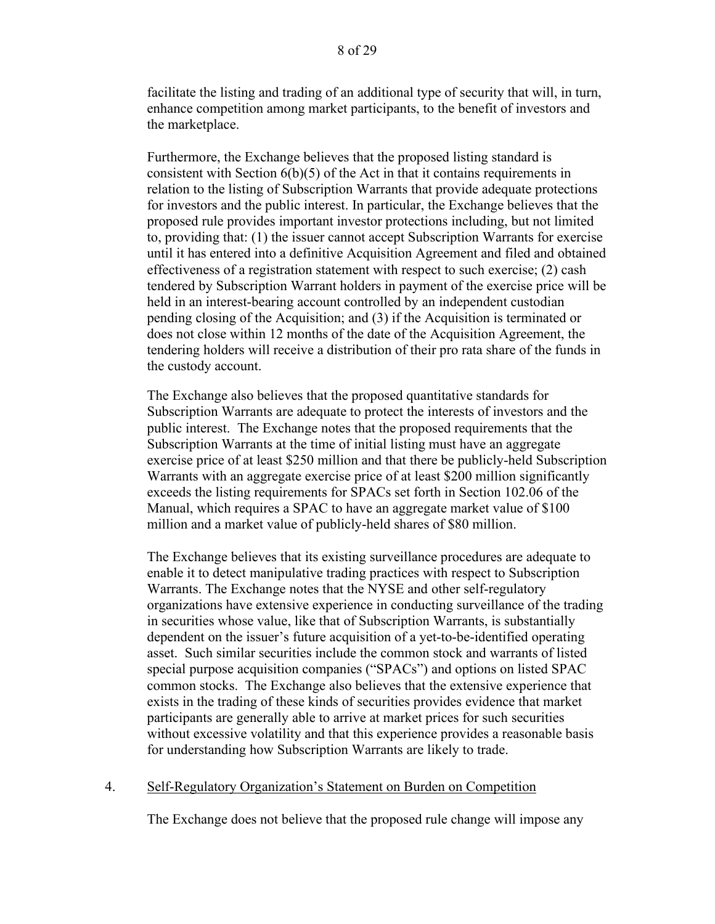facilitate the listing and trading of an additional type of security that will, in turn, enhance competition among market participants, to the benefit of investors and the marketplace.

Furthermore, the Exchange believes that the proposed listing standard is consistent with Section 6(b)(5) of the Act in that it contains requirements in relation to the listing of Subscription Warrants that provide adequate protections for investors and the public interest. In particular, the Exchange believes that the proposed rule provides important investor protections including, but not limited to, providing that: (1) the issuer cannot accept Subscription Warrants for exercise until it has entered into a definitive Acquisition Agreement and filed and obtained effectiveness of a registration statement with respect to such exercise; (2) cash tendered by Subscription Warrant holders in payment of the exercise price will be held in an interest-bearing account controlled by an independent custodian pending closing of the Acquisition; and (3) if the Acquisition is terminated or does not close within 12 months of the date of the Acquisition Agreement, the tendering holders will receive a distribution of their pro rata share of the funds in the custody account.

The Exchange also believes that the proposed quantitative standards for Subscription Warrants are adequate to protect the interests of investors and the public interest. The Exchange notes that the proposed requirements that the Subscription Warrants at the time of initial listing must have an aggregate exercise price of at least \$250 million and that there be publicly-held Subscription Warrants with an aggregate exercise price of at least \$200 million significantly exceeds the listing requirements for SPACs set forth in Section 102.06 of the Manual, which requires a SPAC to have an aggregate market value of \$100 million and a market value of publicly-held shares of \$80 million.

The Exchange believes that its existing surveillance procedures are adequate to enable it to detect manipulative trading practices with respect to Subscription Warrants. The Exchange notes that the NYSE and other self-regulatory organizations have extensive experience in conducting surveillance of the trading in securities whose value, like that of Subscription Warrants, is substantially dependent on the issuer's future acquisition of a yet-to-be-identified operating asset. Such similar securities include the common stock and warrants of listed special purpose acquisition companies ("SPACs") and options on listed SPAC common stocks. The Exchange also believes that the extensive experience that exists in the trading of these kinds of securities provides evidence that market participants are generally able to arrive at market prices for such securities without excessive volatility and that this experience provides a reasonable basis for understanding how Subscription Warrants are likely to trade.

### 4. Self-Regulatory Organization's Statement on Burden on Competition

The Exchange does not believe that the proposed rule change will impose any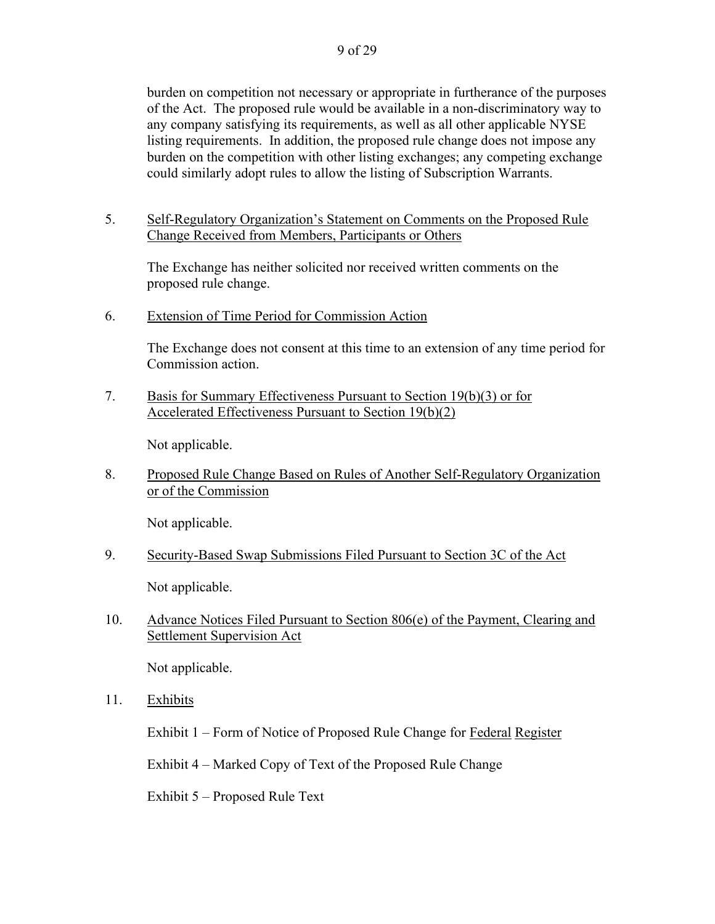burden on competition not necessary or appropriate in furtherance of the purposes of the Act. The proposed rule would be available in a non-discriminatory way to any company satisfying its requirements, as well as all other applicable NYSE listing requirements. In addition, the proposed rule change does not impose any burden on the competition with other listing exchanges; any competing exchange could similarly adopt rules to allow the listing of Subscription Warrants.

5. Self-Regulatory Organization's Statement on Comments on the Proposed Rule Change Received from Members, Participants or Others

The Exchange has neither solicited nor received written comments on the proposed rule change.

6. Extension of Time Period for Commission Action

 The Exchange does not consent at this time to an extension of any time period for Commission action.

7. Basis for Summary Effectiveness Pursuant to Section 19(b)(3) or for Accelerated Effectiveness Pursuant to Section 19(b)(2)

Not applicable.

8. Proposed Rule Change Based on Rules of Another Self-Regulatory Organization or of the Commission

Not applicable.

9. Security-Based Swap Submissions Filed Pursuant to Section 3C of the Act

Not applicable.

10. Advance Notices Filed Pursuant to Section 806(e) of the Payment, Clearing and Settlement Supervision Act

Not applicable.

11. Exhibits

Exhibit 1 – Form of Notice of Proposed Rule Change for Federal Register

Exhibit 4 – Marked Copy of Text of the Proposed Rule Change

Exhibit 5 – Proposed Rule Text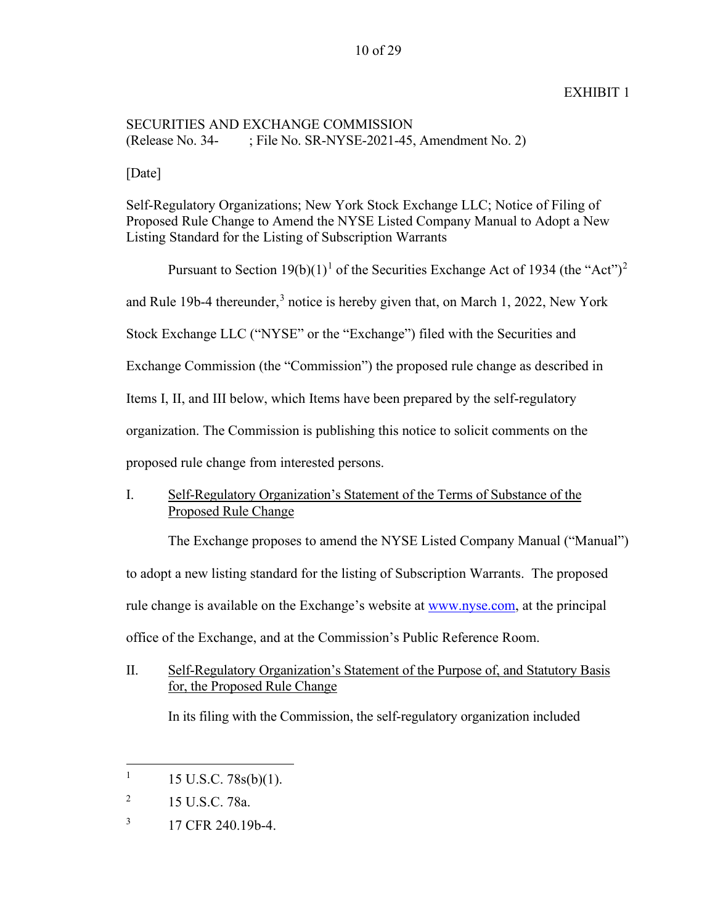### 10 of 29

## EXHIBIT 1

## SECURITIES AND EXCHANGE COMMISSION (Release No. 34- ; File No. SR-NYSE-2021-45, Amendment No. 2)

[Date]

Self-Regulatory Organizations; New York Stock Exchange LLC; Notice of Filing of Proposed Rule Change to Amend the NYSE Listed Company Manual to Adopt a New Listing Standard for the Listing of Subscription Warrants

Pursuant to Section  $19(b)(1)^1$  of the Securities Exchange Act of 1934 (the "Act")<sup>2</sup> and Rule 19b-4 thereunder,<sup>3</sup> notice is hereby given that, on March 1, 2022, New York Stock Exchange LLC ("NYSE" or the "Exchange") filed with the Securities and Exchange Commission (the "Commission") the proposed rule change as described in Items I, II, and III below, which Items have been prepared by the self-regulatory organization. The Commission is publishing this notice to solicit comments on the proposed rule change from interested persons.

# I. Self-Regulatory Organization's Statement of the Terms of Substance of the Proposed Rule Change

The Exchange proposes to amend the NYSE Listed Company Manual ("Manual")

to adopt a new listing standard for the listing of Subscription Warrants. The proposed

rule change is available on the Exchange's website at www.nyse.com, at the principal

office of the Exchange, and at the Commission's Public Reference Room.

II. Self-Regulatory Organization's Statement of the Purpose of, and Statutory Basis for, the Proposed Rule Change

In its filing with the Commission, the self-regulatory organization included

<sup>1</sup> 15 U.S.C. 78s(b)(1).

<sup>2</sup> 15 U.S.C. 78a.

<sup>3</sup> 17 CFR 240.19b-4.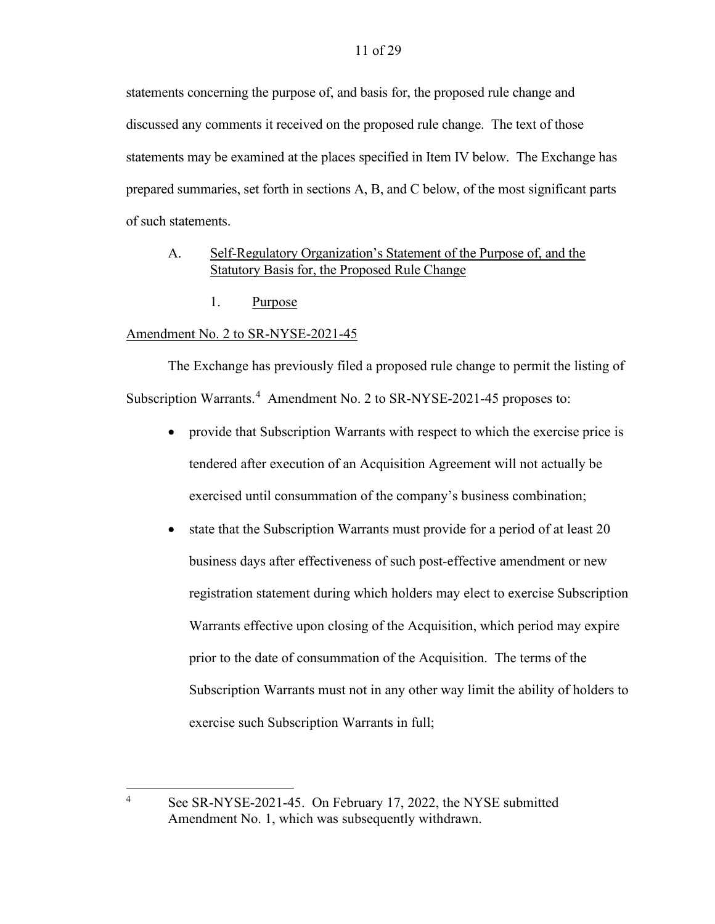statements concerning the purpose of, and basis for, the proposed rule change and discussed any comments it received on the proposed rule change. The text of those statements may be examined at the places specified in Item IV below. The Exchange has prepared summaries, set forth in sections A, B, and C below, of the most significant parts of such statements.

## A. Self-Regulatory Organization's Statement of the Purpose of, and the Statutory Basis for, the Proposed Rule Change

1. Purpose

## Amendment No. 2 to SR-NYSE-2021-45

4

The Exchange has previously filed a proposed rule change to permit the listing of Subscription Warrants.<sup>4</sup> Amendment No. 2 to SR-NYSE-2021-45 proposes to:

- provide that Subscription Warrants with respect to which the exercise price is tendered after execution of an Acquisition Agreement will not actually be exercised until consummation of the company's business combination;
- state that the Subscription Warrants must provide for a period of at least 20 business days after effectiveness of such post-effective amendment or new registration statement during which holders may elect to exercise Subscription Warrants effective upon closing of the Acquisition, which period may expire prior to the date of consummation of the Acquisition. The terms of the Subscription Warrants must not in any other way limit the ability of holders to exercise such Subscription Warrants in full;

See SR-NYSE-2021-45. On February 17, 2022, the NYSE submitted Amendment No. 1, which was subsequently withdrawn.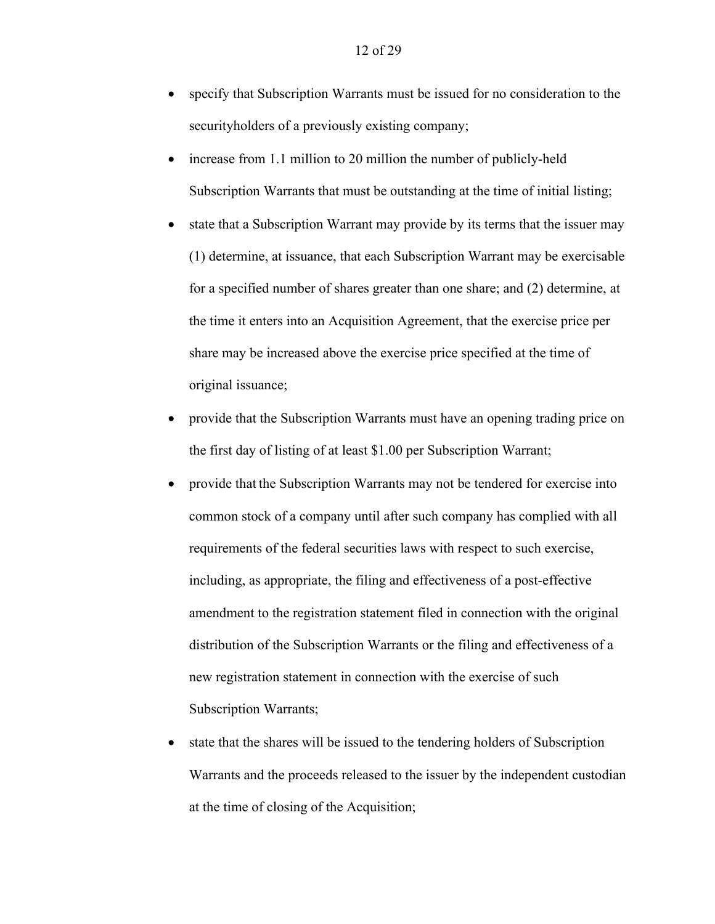- specify that Subscription Warrants must be issued for no consideration to the securityholders of a previously existing company;
- increase from 1.1 million to 20 million the number of publicly-held Subscription Warrants that must be outstanding at the time of initial listing;
- state that a Subscription Warrant may provide by its terms that the issuer may (1) determine, at issuance, that each Subscription Warrant may be exercisable for a specified number of shares greater than one share; and (2) determine, at the time it enters into an Acquisition Agreement, that the exercise price per share may be increased above the exercise price specified at the time of original issuance;
- provide that the Subscription Warrants must have an opening trading price on the first day of listing of at least \$1.00 per Subscription Warrant;
- provide that the Subscription Warrants may not be tendered for exercise into common stock of a company until after such company has complied with all requirements of the federal securities laws with respect to such exercise, including, as appropriate, the filing and effectiveness of a post-effective amendment to the registration statement filed in connection with the original distribution of the Subscription Warrants or the filing and effectiveness of a new registration statement in connection with the exercise of such Subscription Warrants;
- state that the shares will be issued to the tendering holders of Subscription Warrants and the proceeds released to the issuer by the independent custodian at the time of closing of the Acquisition;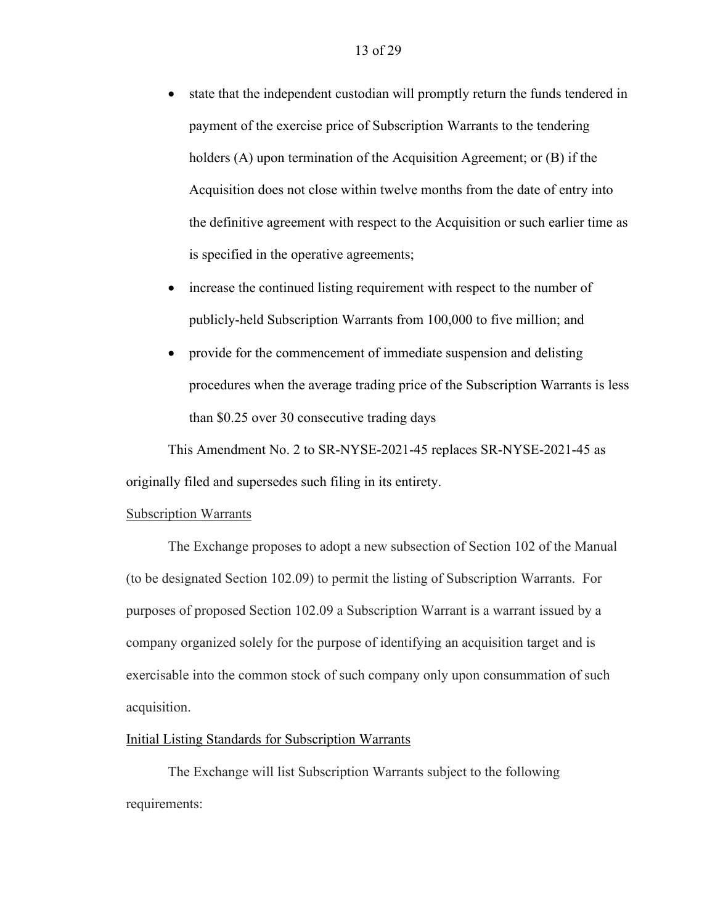- state that the independent custodian will promptly return the funds tendered in payment of the exercise price of Subscription Warrants to the tendering holders (A) upon termination of the Acquisition Agreement; or (B) if the Acquisition does not close within twelve months from the date of entry into the definitive agreement with respect to the Acquisition or such earlier time as is specified in the operative agreements;
- increase the continued listing requirement with respect to the number of publicly-held Subscription Warrants from 100,000 to five million; and
- provide for the commencement of immediate suspension and delisting procedures when the average trading price of the Subscription Warrants is less than \$0.25 over 30 consecutive trading days

This Amendment No. 2 to SR-NYSE-2021-45 replaces SR-NYSE-2021-45 as originally filed and supersedes such filing in its entirety.

#### Subscription Warrants

The Exchange proposes to adopt a new subsection of Section 102 of the Manual (to be designated Section 102.09) to permit the listing of Subscription Warrants. For purposes of proposed Section 102.09 a Subscription Warrant is a warrant issued by a company organized solely for the purpose of identifying an acquisition target and is exercisable into the common stock of such company only upon consummation of such acquisition.

#### Initial Listing Standards for Subscription Warrants

The Exchange will list Subscription Warrants subject to the following requirements: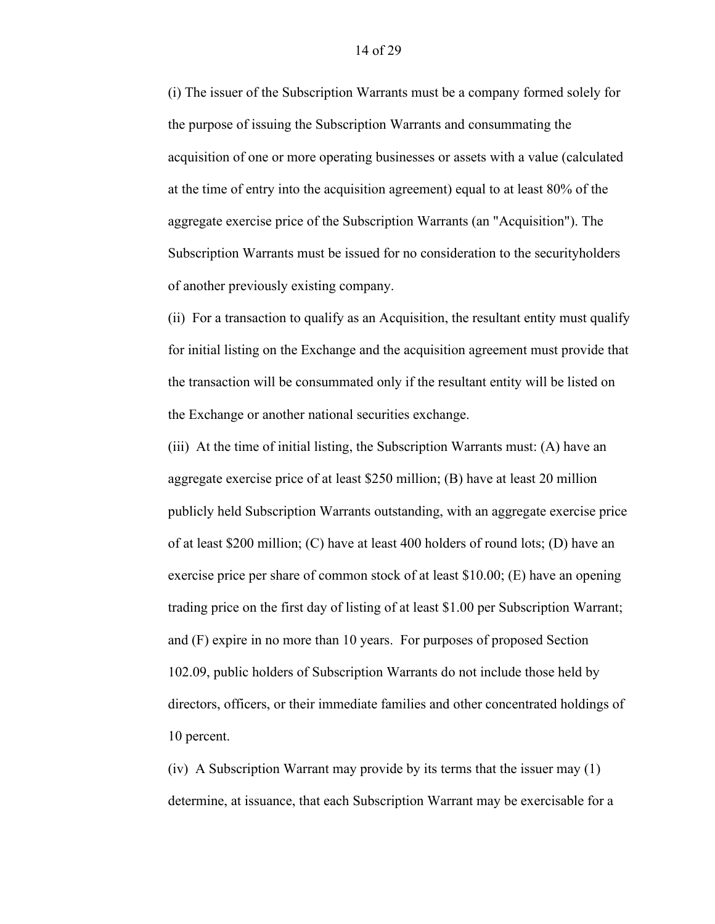(i) The issuer of the Subscription Warrants must be a company formed solely for the purpose of issuing the Subscription Warrants and consummating the acquisition of one or more operating businesses or assets with a value (calculated at the time of entry into the acquisition agreement) equal to at least 80% of the aggregate exercise price of the Subscription Warrants (an "Acquisition"). The Subscription Warrants must be issued for no consideration to the securityholders of another previously existing company.

(ii) For a transaction to qualify as an Acquisition, the resultant entity must qualify for initial listing on the Exchange and the acquisition agreement must provide that the transaction will be consummated only if the resultant entity will be listed on the Exchange or another national securities exchange.

(iii) At the time of initial listing, the Subscription Warrants must: (A) have an aggregate exercise price of at least \$250 million; (B) have at least 20 million publicly held Subscription Warrants outstanding, with an aggregate exercise price of at least \$200 million; (C) have at least 400 holders of round lots; (D) have an exercise price per share of common stock of at least \$10.00; (E) have an opening trading price on the first day of listing of at least \$1.00 per Subscription Warrant; and (F) expire in no more than 10 years. For purposes of proposed Section 102.09, public holders of Subscription Warrants do not include those held by directors, officers, or their immediate families and other concentrated holdings of 10 percent.

(iv) A Subscription Warrant may provide by its terms that the issuer may (1) determine, at issuance, that each Subscription Warrant may be exercisable for a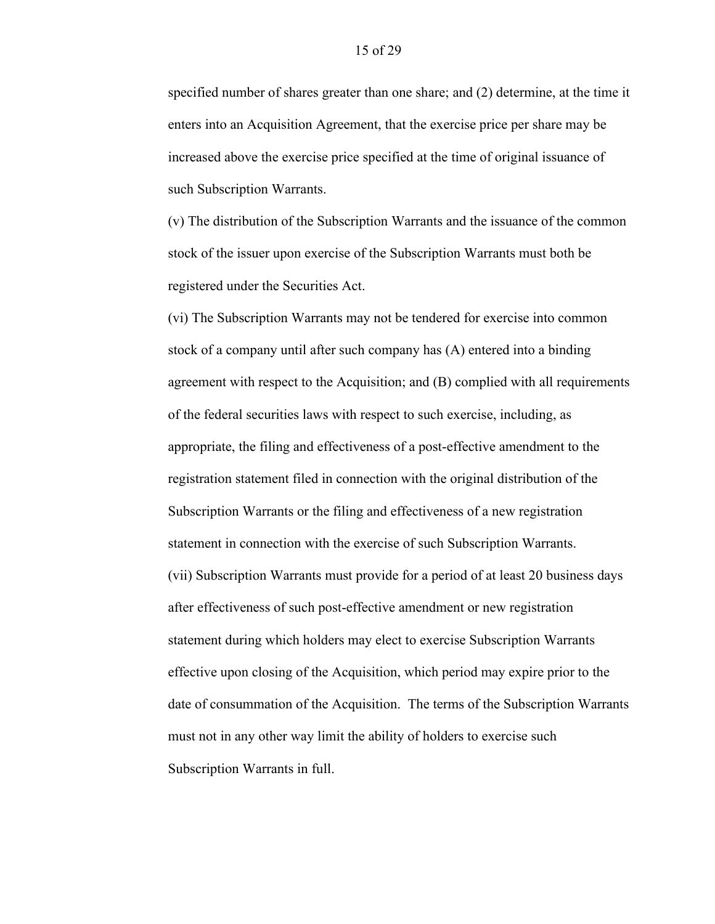specified number of shares greater than one share; and (2) determine, at the time it enters into an Acquisition Agreement, that the exercise price per share may be increased above the exercise price specified at the time of original issuance of such Subscription Warrants.

(v) The distribution of the Subscription Warrants and the issuance of the common stock of the issuer upon exercise of the Subscription Warrants must both be registered under the Securities Act.

(vi) The Subscription Warrants may not be tendered for exercise into common stock of a company until after such company has (A) entered into a binding agreement with respect to the Acquisition; and (B) complied with all requirements of the federal securities laws with respect to such exercise, including, as appropriate, the filing and effectiveness of a post-effective amendment to the registration statement filed in connection with the original distribution of the Subscription Warrants or the filing and effectiveness of a new registration statement in connection with the exercise of such Subscription Warrants. (vii) Subscription Warrants must provide for a period of at least 20 business days after effectiveness of such post-effective amendment or new registration statement during which holders may elect to exercise Subscription Warrants effective upon closing of the Acquisition, which period may expire prior to the date of consummation of the Acquisition. The terms of the Subscription Warrants must not in any other way limit the ability of holders to exercise such Subscription Warrants in full.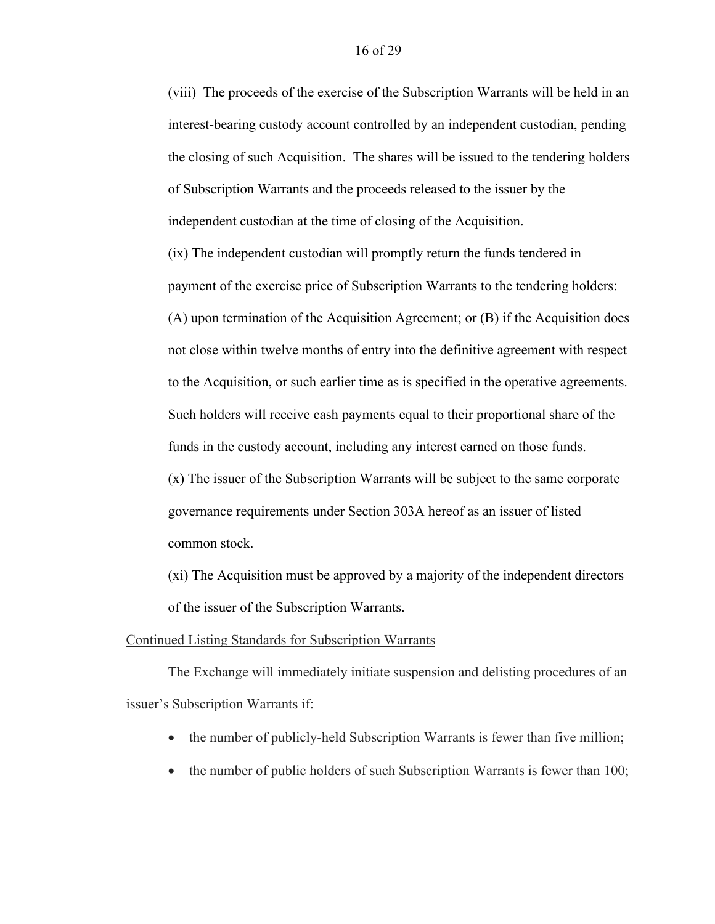(viii) The proceeds of the exercise of the Subscription Warrants will be held in an interest-bearing custody account controlled by an independent custodian, pending the closing of such Acquisition. The shares will be issued to the tendering holders of Subscription Warrants and the proceeds released to the issuer by the independent custodian at the time of closing of the Acquisition.

(ix) The independent custodian will promptly return the funds tendered in payment of the exercise price of Subscription Warrants to the tendering holders: (A) upon termination of the Acquisition Agreement; or (B) if the Acquisition does not close within twelve months of entry into the definitive agreement with respect to the Acquisition, or such earlier time as is specified in the operative agreements. Such holders will receive cash payments equal to their proportional share of the funds in the custody account, including any interest earned on those funds.

(x) The issuer of the Subscription Warrants will be subject to the same corporate governance requirements under Section 303A hereof as an issuer of listed common stock.

(xi) The Acquisition must be approved by a majority of the independent directors of the issuer of the Subscription Warrants.

#### Continued Listing Standards for Subscription Warrants

The Exchange will immediately initiate suspension and delisting procedures of an issuer's Subscription Warrants if:

- the number of publicly-held Subscription Warrants is fewer than five million;
- the number of public holders of such Subscription Warrants is fewer than 100;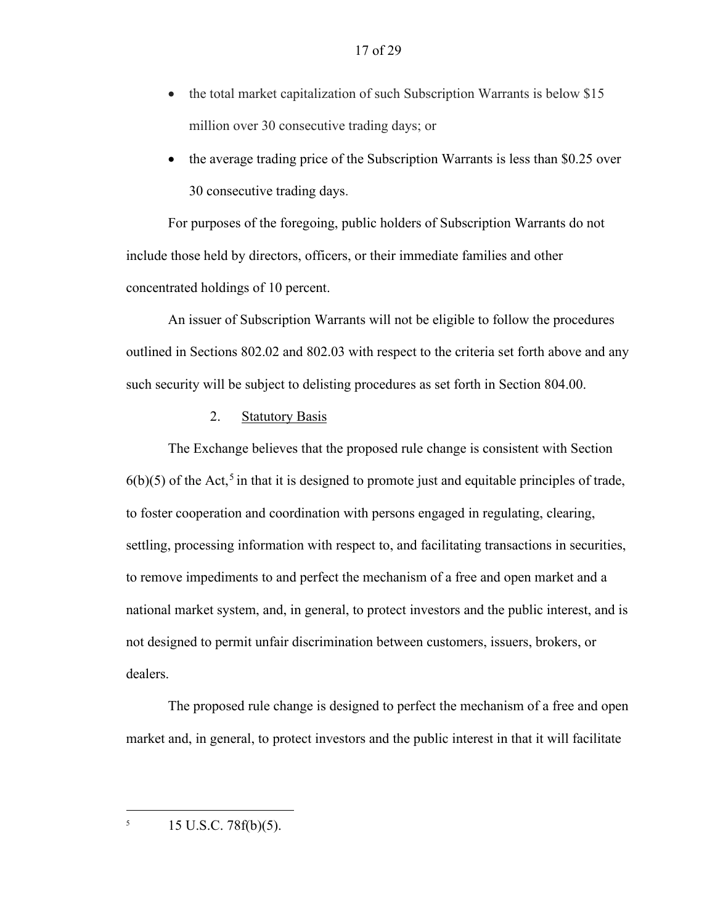- the total market capitalization of such Subscription Warrants is below \$15 million over 30 consecutive trading days; or
- the average trading price of the Subscription Warrants is less than \$0.25 over 30 consecutive trading days.

For purposes of the foregoing, public holders of Subscription Warrants do not include those held by directors, officers, or their immediate families and other concentrated holdings of 10 percent.

An issuer of Subscription Warrants will not be eligible to follow the procedures outlined in Sections 802.02 and 802.03 with respect to the criteria set forth above and any such security will be subject to delisting procedures as set forth in Section 804.00.

### 2. Statutory Basis

The Exchange believes that the proposed rule change is consistent with Section  $6(b)(5)$  of the Act,<sup>5</sup> in that it is designed to promote just and equitable principles of trade, to foster cooperation and coordination with persons engaged in regulating, clearing, settling, processing information with respect to, and facilitating transactions in securities, to remove impediments to and perfect the mechanism of a free and open market and a national market system, and, in general, to protect investors and the public interest, and is not designed to permit unfair discrimination between customers, issuers, brokers, or dealers.

The proposed rule change is designed to perfect the mechanism of a free and open market and, in general, to protect investors and the public interest in that it will facilitate

 $15 \text{ U.S.C. } 78 \text{ f(b)}(5).$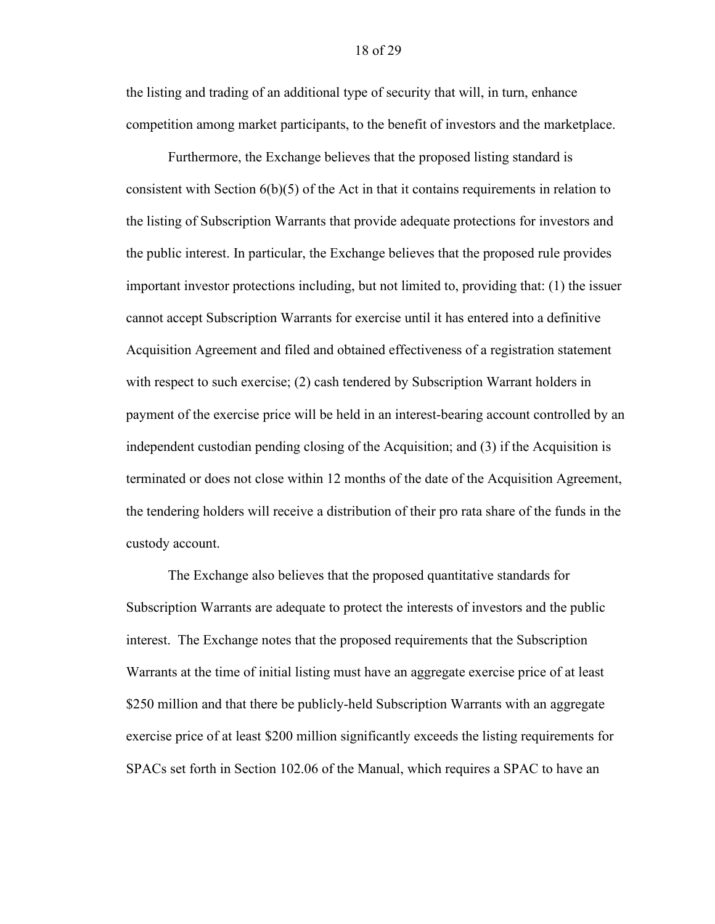the listing and trading of an additional type of security that will, in turn, enhance competition among market participants, to the benefit of investors and the marketplace.

Furthermore, the Exchange believes that the proposed listing standard is consistent with Section 6(b)(5) of the Act in that it contains requirements in relation to the listing of Subscription Warrants that provide adequate protections for investors and the public interest. In particular, the Exchange believes that the proposed rule provides important investor protections including, but not limited to, providing that: (1) the issuer cannot accept Subscription Warrants for exercise until it has entered into a definitive Acquisition Agreement and filed and obtained effectiveness of a registration statement with respect to such exercise; (2) cash tendered by Subscription Warrant holders in payment of the exercise price will be held in an interest-bearing account controlled by an independent custodian pending closing of the Acquisition; and (3) if the Acquisition is terminated or does not close within 12 months of the date of the Acquisition Agreement, the tendering holders will receive a distribution of their pro rata share of the funds in the custody account.

The Exchange also believes that the proposed quantitative standards for Subscription Warrants are adequate to protect the interests of investors and the public interest. The Exchange notes that the proposed requirements that the Subscription Warrants at the time of initial listing must have an aggregate exercise price of at least \$250 million and that there be publicly-held Subscription Warrants with an aggregate exercise price of at least \$200 million significantly exceeds the listing requirements for SPACs set forth in Section 102.06 of the Manual, which requires a SPAC to have an

#### 18 of 29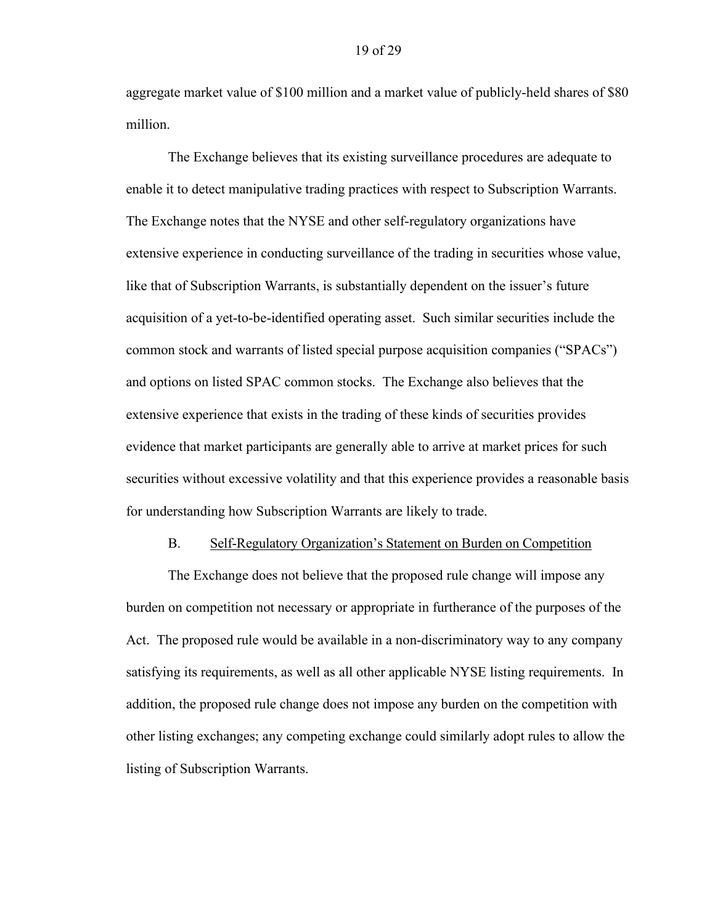aggregate market value of \$100 million and a market value of publicly-held shares of \$80 million.

The Exchange believes that its existing surveillance procedures are adequate to enable it to detect manipulative trading practices with respect to Subscription Warrants. The Exchange notes that the NYSE and other self-regulatory organizations have extensive experience in conducting surveillance of the trading in securities whose value, like that of Subscription Warrants, is substantially dependent on the issuer's future acquisition of a yet-to-be-identified operating asset. Such similar securities include the common stock and warrants of listed special purpose acquisition companies ("SPACs") and options on listed SPAC common stocks. The Exchange also believes that the extensive experience that exists in the trading of these kinds of securities provides evidence that market participants are generally able to arrive at market prices for such securities without excessive volatility and that this experience provides a reasonable basis for understanding how Subscription Warrants are likely to trade.

#### B. Self-Regulatory Organization's Statement on Burden on Competition

The Exchange does not believe that the proposed rule change will impose any burden on competition not necessary or appropriate in furtherance of the purposes of the Act. The proposed rule would be available in a non-discriminatory way to any company satisfying its requirements, as well as all other applicable NYSE listing requirements. In addition, the proposed rule change does not impose any burden on the competition with other listing exchanges; any competing exchange could similarly adopt rules to allow the listing of Subscription Warrants.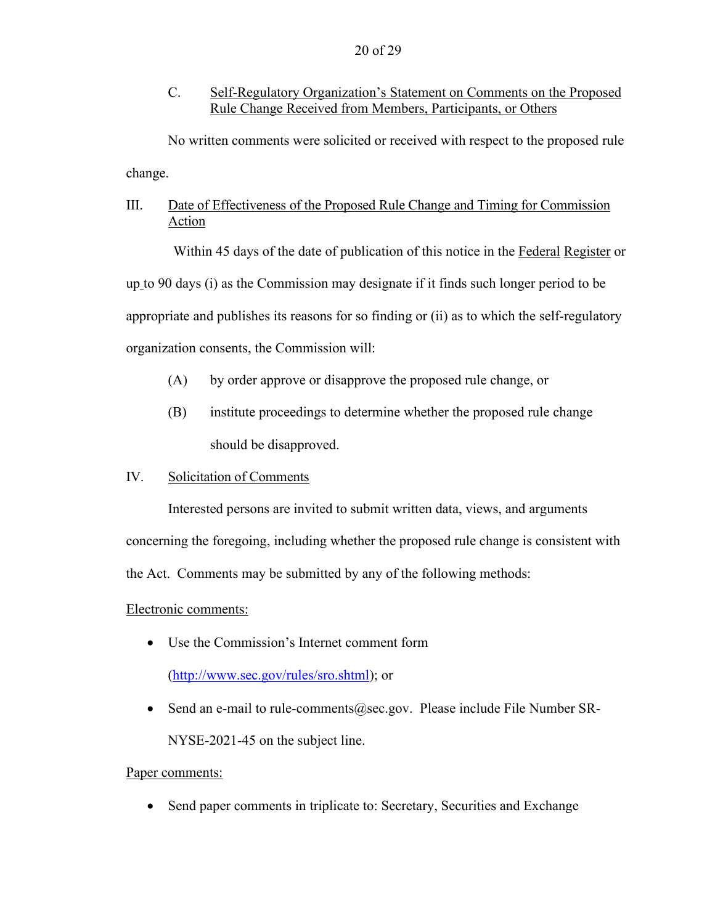C. Self-Regulatory Organization's Statement on Comments on the Proposed Rule Change Received from Members, Participants, or Others

No written comments were solicited or received with respect to the proposed rule change.

# III. Date of Effectiveness of the Proposed Rule Change and Timing for Commission Action

Within 45 days of the date of publication of this notice in the Federal Register or up to 90 days (i) as the Commission may designate if it finds such longer period to be appropriate and publishes its reasons for so finding or (ii) as to which the self-regulatory organization consents, the Commission will:

- (A) by order approve or disapprove the proposed rule change, or
- (B) institute proceedings to determine whether the proposed rule change should be disapproved.

## IV. Solicitation of Comments

Interested persons are invited to submit written data, views, and arguments concerning the foregoing, including whether the proposed rule change is consistent with the Act. Comments may be submitted by any of the following methods:

### Electronic comments:

• Use the Commission's Internet comment form

(http://www.sec.gov/rules/sro.shtml); or

• Send an e-mail to rule-comments@sec.gov. Please include File Number SR-NYSE-2021-45 on the subject line.

### Paper comments:

• Send paper comments in triplicate to: Secretary, Securities and Exchange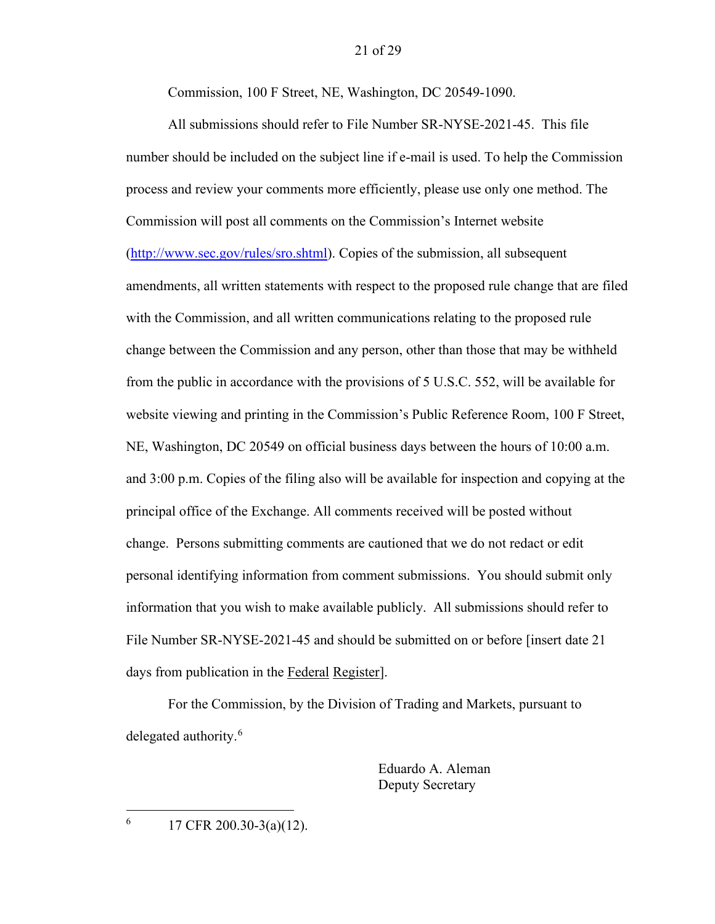Commission, 100 F Street, NE, Washington, DC 20549-1090.

All submissions should refer to File Number SR-NYSE-2021-45. This file number should be included on the subject line if e-mail is used. To help the Commission process and review your comments more efficiently, please use only one method. The Commission will post all comments on the Commission's Internet website (http://www.sec.gov/rules/sro.shtml). Copies of the submission, all subsequent amendments, all written statements with respect to the proposed rule change that are filed with the Commission, and all written communications relating to the proposed rule change between the Commission and any person, other than those that may be withheld from the public in accordance with the provisions of 5 U.S.C. 552, will be available for website viewing and printing in the Commission's Public Reference Room, 100 F Street, NE, Washington, DC 20549 on official business days between the hours of 10:00 a.m. and 3:00 p.m. Copies of the filing also will be available for inspection and copying at the principal office of the Exchange. All comments received will be posted without change. Persons submitting comments are cautioned that we do not redact or edit personal identifying information from comment submissions. You should submit only information that you wish to make available publicly. All submissions should refer to File Number SR-NYSE-2021-45 and should be submitted on or before [insert date 21 days from publication in the Federal Register].

For the Commission, by the Division of Trading and Markets, pursuant to delegated authority.<sup>6</sup>

> Eduardo A. Aleman Deputy Secretary

6

17 CFR 200.30-3(a)(12).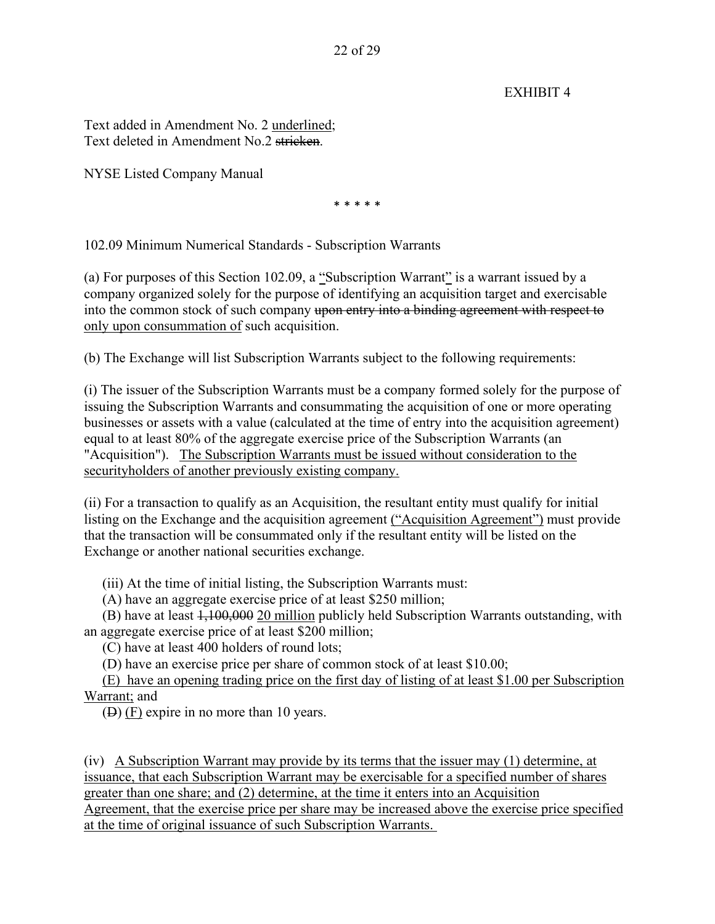EXHIBIT 4

Text added in Amendment No. 2 underlined; Text deleted in Amendment No.2 stricken.

NYSE Listed Company Manual

\* \* \* \* \*

102.09 Minimum Numerical Standards - Subscription Warrants

(a) For purposes of this Section 102.09, a "Subscription Warrant" is a warrant issued by a company organized solely for the purpose of identifying an acquisition target and exercisable into the common stock of such company upon entry into a binding agreement with respect to only upon consummation of such acquisition.

(b) The Exchange will list Subscription Warrants subject to the following requirements:

(i) The issuer of the Subscription Warrants must be a company formed solely for the purpose of issuing the Subscription Warrants and consummating the acquisition of one or more operating businesses or assets with a value (calculated at the time of entry into the acquisition agreement) equal to at least 80% of the aggregate exercise price of the Subscription Warrants (an "Acquisition"). The Subscription Warrants must be issued without consideration to the securityholders of another previously existing company.

(ii) For a transaction to qualify as an Acquisition, the resultant entity must qualify for initial listing on the Exchange and the acquisition agreement ("Acquisition Agreement") must provide that the transaction will be consummated only if the resultant entity will be listed on the Exchange or another national securities exchange.

(iii) At the time of initial listing, the Subscription Warrants must:

(A) have an aggregate exercise price of at least \$250 million;

(B) have at least 1,100,000 20 million publicly held Subscription Warrants outstanding, with an aggregate exercise price of at least \$200 million;

(C) have at least 400 holders of round lots;

(D) have an exercise price per share of common stock of at least \$10.00;

(E) have an opening trading price on the first day of listing of at least \$1.00 per Subscription Warrant; and

(D) (F) expire in no more than 10 years.

(iv) A Subscription Warrant may provide by its terms that the issuer may (1) determine, at issuance, that each Subscription Warrant may be exercisable for a specified number of shares greater than one share; and (2) determine, at the time it enters into an Acquisition Agreement, that the exercise price per share may be increased above the exercise price specified at the time of original issuance of such Subscription Warrants.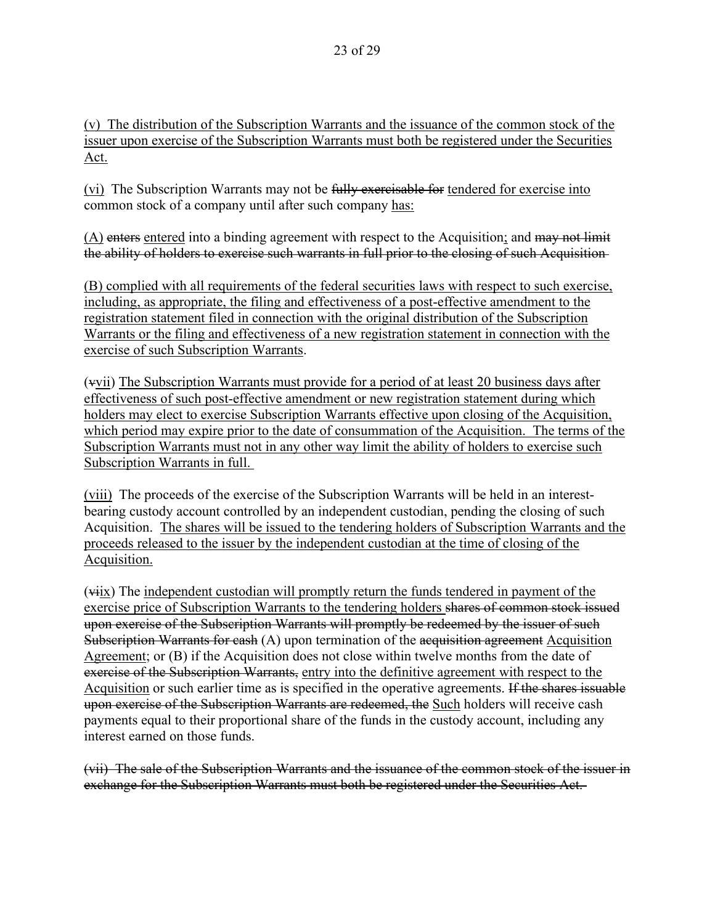(v) The distribution of the Subscription Warrants and the issuance of the common stock of the issuer upon exercise of the Subscription Warrants must both be registered under the Securities Act.

(vi) The Subscription Warrants may not be fully exercisable for tendered for exercise into common stock of a company until after such company has:

(A) enters entered into a binding agreement with respect to the Acquisition; and may not limit the ability of holders to exercise such warrants in full prior to the closing of such Acquisition

(B) complied with all requirements of the federal securities laws with respect to such exercise, including, as appropriate, the filing and effectiveness of a post-effective amendment to the registration statement filed in connection with the original distribution of the Subscription Warrants or the filing and effectiveness of a new registration statement in connection with the exercise of such Subscription Warrants.

(vvii) The Subscription Warrants must provide for a period of at least 20 business days after effectiveness of such post-effective amendment or new registration statement during which holders may elect to exercise Subscription Warrants effective upon closing of the Acquisition, which period may expire prior to the date of consummation of the Acquisition. The terms of the Subscription Warrants must not in any other way limit the ability of holders to exercise such Subscription Warrants in full.

(viii) The proceeds of the exercise of the Subscription Warrants will be held in an interestbearing custody account controlled by an independent custodian, pending the closing of such Acquisition. The shares will be issued to the tendering holders of Subscription Warrants and the proceeds released to the issuer by the independent custodian at the time of closing of the Acquisition.

(viix) The independent custodian will promptly return the funds tendered in payment of the exercise price of Subscription Warrants to the tendering holders shares of common stock issued upon exercise of the Subscription Warrants will promptly be redeemed by the issuer of such Subscription Warrants for cash (A) upon termination of the acquisition agreement Acquisition Agreement; or (B) if the Acquisition does not close within twelve months from the date of exercise of the Subscription Warrants, entry into the definitive agreement with respect to the Acquisition or such earlier time as is specified in the operative agreements. If the shares issuable upon exercise of the Subscription Warrants are redeemed, the Such holders will receive cash payments equal to their proportional share of the funds in the custody account, including any interest earned on those funds.

(vii) The sale of the Subscription Warrants and the issuance of the common stock of the issuer in exchange for the Subscription Warrants must both be registered under the Securities Act.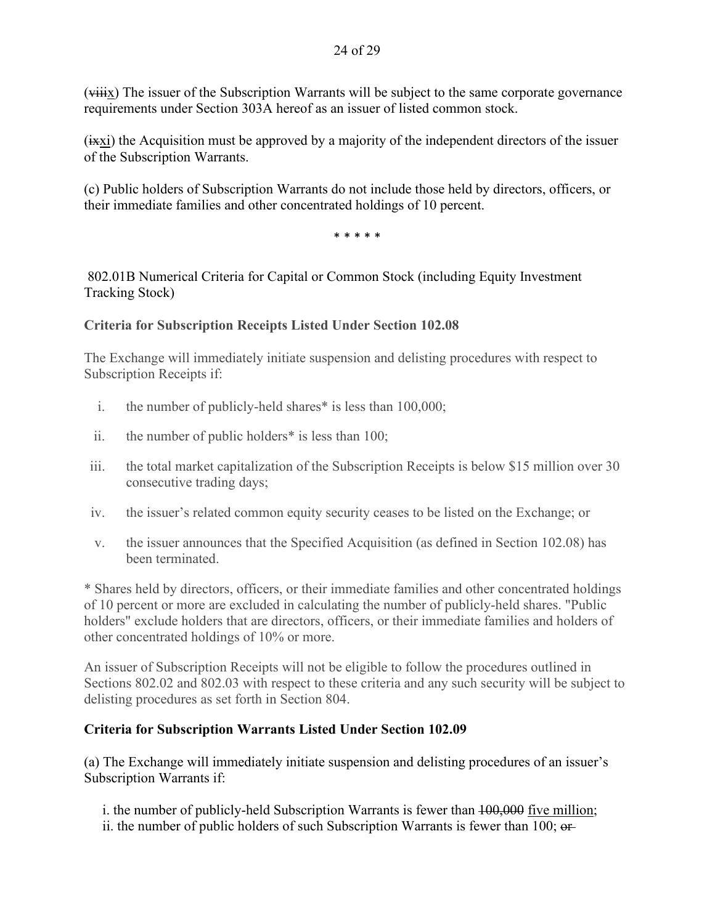(viiix) The issuer of the Subscription Warrants will be subject to the same corporate governance requirements under Section 303A hereof as an issuer of listed common stock.

 $(i~~xxi~~)$  the Acquisition must be approved by a majority of the independent directors of the issuer of the Subscription Warrants.

(c) Public holders of Subscription Warrants do not include those held by directors, officers, or their immediate families and other concentrated holdings of 10 percent.

\* \* \* \* \*

 802.01B Numerical Criteria for Capital or Common Stock (including Equity Investment Tracking Stock)

## **Criteria for Subscription Receipts Listed Under Section 102.08**

The Exchange will immediately initiate suspension and delisting procedures with respect to Subscription Receipts if:

- i. the number of publicly-held shares\* is less than 100,000;
- ii. the number of public holders\* is less than 100;
- iii. the total market capitalization of the Subscription Receipts is below \$15 million over 30 consecutive trading days;
- iv. the issuer's related common equity security ceases to be listed on the Exchange; or
- v. the issuer announces that the Specified Acquisition (as defined in Section 102.08) has been terminated.

\* Shares held by directors, officers, or their immediate families and other concentrated holdings of 10 percent or more are excluded in calculating the number of publicly-held shares. "Public holders" exclude holders that are directors, officers, or their immediate families and holders of other concentrated holdings of 10% or more.

An issuer of Subscription Receipts will not be eligible to follow the procedures outlined in Sections 802.02 and 802.03 with respect to these criteria and any such security will be subject to delisting procedures as set forth in Section 804.

## **Criteria for Subscription Warrants Listed Under Section 102.09**

(a) The Exchange will immediately initiate suspension and delisting procedures of an issuer's Subscription Warrants if:

i. the number of publicly-held Subscription Warrants is fewer than  $100,000$  five million; ii. the number of public holders of such Subscription Warrants is fewer than  $100$ ;  $\theta$ f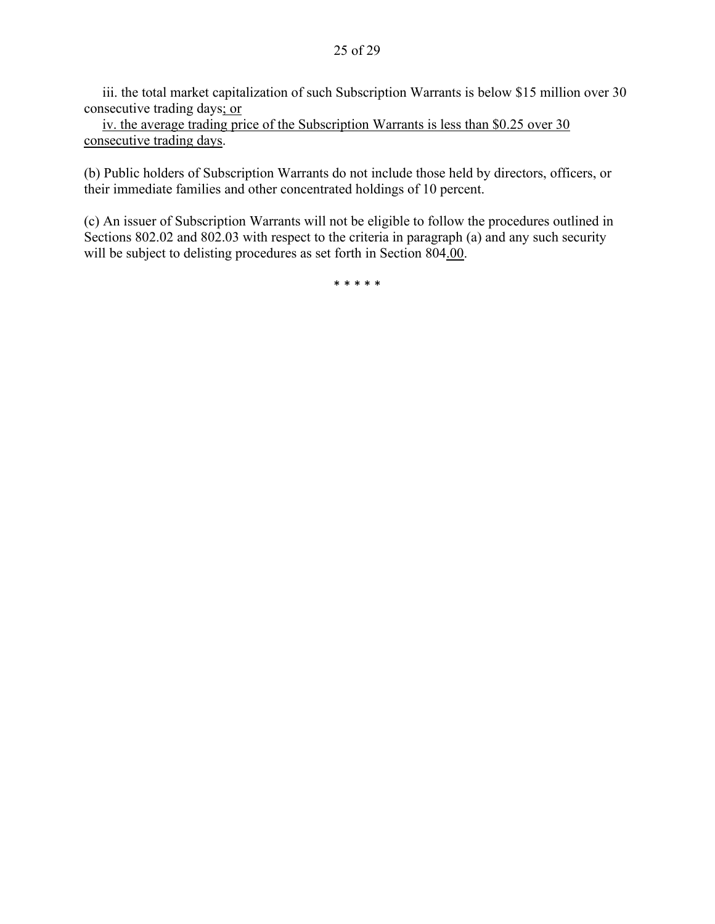iii. the total market capitalization of such Subscription Warrants is below \$15 million over 30 consecutive trading days; or

iv. the average trading price of the Subscription Warrants is less than \$0.25 over 30 consecutive trading days.

(b) Public holders of Subscription Warrants do not include those held by directors, officers, or their immediate families and other concentrated holdings of 10 percent.

(c) An issuer of Subscription Warrants will not be eligible to follow the procedures outlined in Sections 802.02 and 802.03 with respect to the criteria in paragraph (a) and any such security will be subject to delisting procedures as set forth in Section 804.00.

\* \* \* \* \*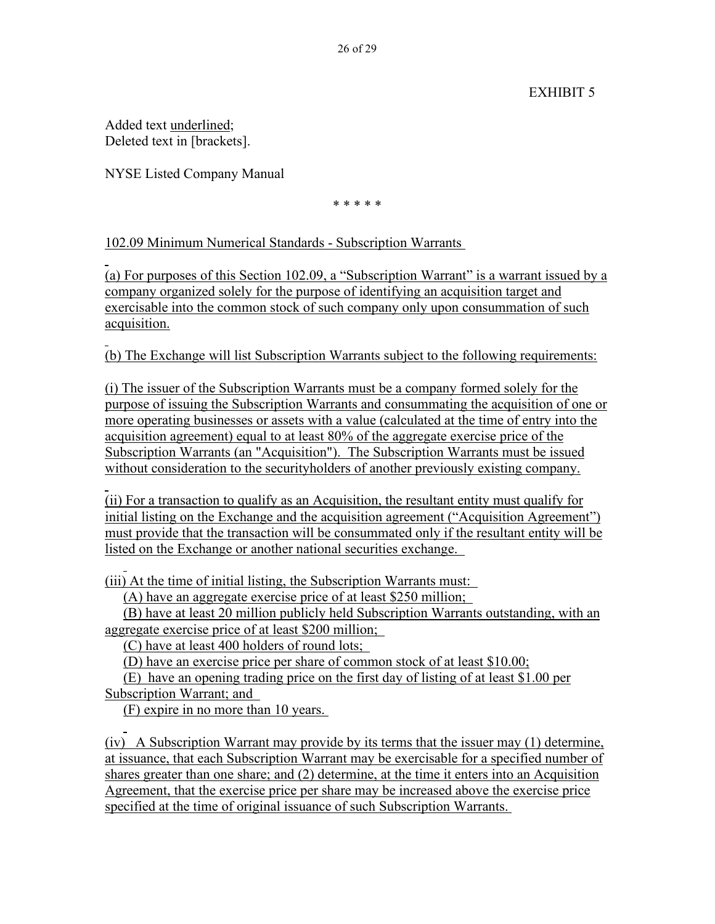# EXHIBIT 5

Added text underlined; Deleted text in [brackets].

 $\overline{a}$ 

 $\overline{a}$ 

NYSE Listed Company Manual

\* \* \* \* \*

102.09 Minimum Numerical Standards - Subscription Warrants

 $\overline{a}$ (a) For purposes of this Section 102.09, a "Subscription Warrant" is a warrant issued by a company organized solely for the purpose of identifying an acquisition target and exercisable into the common stock of such company only upon consummation of such acquisition.

(b) The Exchange will list Subscription Warrants subject to the following requirements:

(i) The issuer of the Subscription Warrants must be a company formed solely for the purpose of issuing the Subscription Warrants and consummating the acquisition of one or more operating businesses or assets with a value (calculated at the time of entry into the acquisition agreement) equal to at least 80% of the aggregate exercise price of the Subscription Warrants (an "Acquisition"). The Subscription Warrants must be issued without consideration to the securityholders of another previously existing company.

 $\overline{a}$ (ii) For a transaction to qualify as an Acquisition, the resultant entity must qualify for initial listing on the Exchange and the acquisition agreement ("Acquisition Agreement") must provide that the transaction will be consummated only if the resultant entity will be listed on the Exchange or another national securities exchange.

(iii) At the time of initial listing, the Subscription Warrants must:

(A) have an aggregate exercise price of at least \$250 million;

(B) have at least 20 million publicly held Subscription Warrants outstanding, with an aggregate exercise price of at least \$200 million;

(C) have at least 400 holders of round lots;

(D) have an exercise price per share of common stock of at least \$10.00;

(E) have an opening trading price on the first day of listing of at least \$1.00 per Subscription Warrant; and

(F) expire in no more than 10 years.

 $\overline{a}$ (iv) A Subscription Warrant may provide by its terms that the issuer may (1) determine, at issuance, that each Subscription Warrant may be exercisable for a specified number of shares greater than one share; and (2) determine, at the time it enters into an Acquisition Agreement, that the exercise price per share may be increased above the exercise price specified at the time of original issuance of such Subscription Warrants.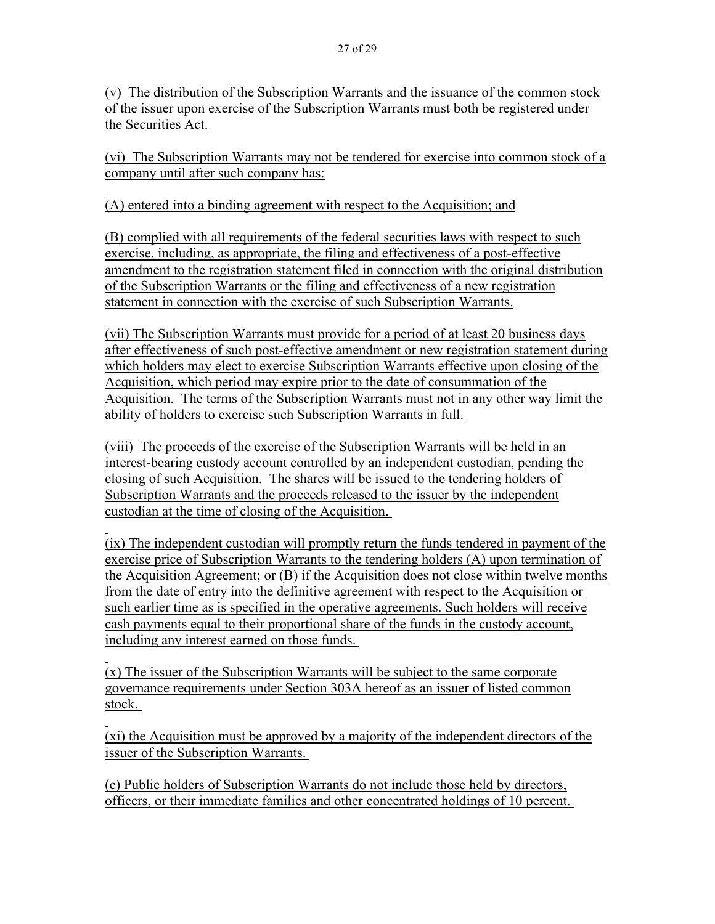(v) The distribution of the Subscription Warrants and the issuance of the common stock of the issuer upon exercise of the Subscription Warrants must both be registered under the Securities Act.

(vi) The Subscription Warrants may not be tendered for exercise into common stock of a company until after such company has:

(A) entered into a binding agreement with respect to the Acquisition; and

(B) complied with all requirements of the federal securities laws with respect to such exercise, including, as appropriate, the filing and effectiveness of a post-effective amendment to the registration statement filed in connection with the original distribution of the Subscription Warrants or the filing and effectiveness of a new registration statement in connection with the exercise of such Subscription Warrants.

(vii) The Subscription Warrants must provide for a period of at least 20 business days after effectiveness of such post-effective amendment or new registration statement during which holders may elect to exercise Subscription Warrants effective upon closing of the Acquisition, which period may expire prior to the date of consummation of the Acquisition. The terms of the Subscription Warrants must not in any other way limit the ability of holders to exercise such Subscription Warrants in full.

(viii) The proceeds of the exercise of the Subscription Warrants will be held in an interest-bearing custody account controlled by an independent custodian, pending the closing of such Acquisition. The shares will be issued to the tendering holders of Subscription Warrants and the proceeds released to the issuer by the independent custodian at the time of closing of the Acquisition.

 $\overline{a}$ (ix) The independent custodian will promptly return the funds tendered in payment of the exercise price of Subscription Warrants to the tendering holders (A) upon termination of the Acquisition Agreement; or (B) if the Acquisition does not close within twelve months from the date of entry into the definitive agreement with respect to the Acquisition or such earlier time as is specified in the operative agreements. Such holders will receive cash payments equal to their proportional share of the funds in the custody account, including any interest earned on those funds.

 $\overline{a}$ (x) The issuer of the Subscription Warrants will be subject to the same corporate governance requirements under Section 303A hereof as an issuer of listed common stock.

 $\overline{a}$ (xi) the Acquisition must be approved by a majority of the independent directors of the issuer of the Subscription Warrants.

(c) Public holders of Subscription Warrants do not include those held by directors, officers, or their immediate families and other concentrated holdings of 10 percent.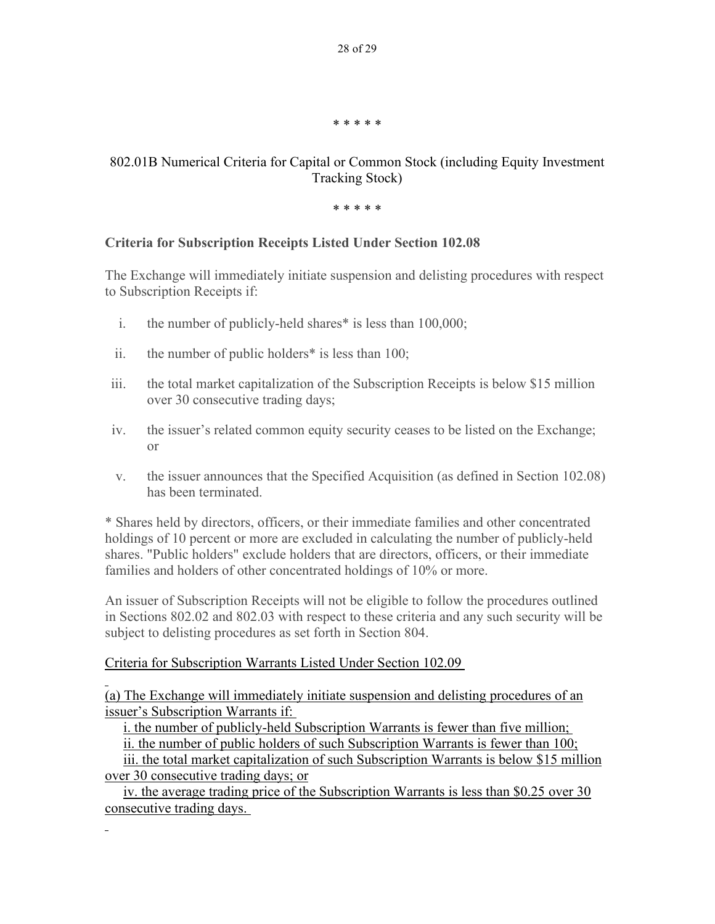\* \* \* \* \*

# 802.01B Numerical Criteria for Capital or Common Stock (including Equity Investment Tracking Stock)

\* \* \* \* \*

# **Criteria for Subscription Receipts Listed Under Section 102.08**

The Exchange will immediately initiate suspension and delisting procedures with respect to Subscription Receipts if:

- i. the number of publicly-held shares\* is less than 100,000;
- ii. the number of public holders\* is less than 100;
- iii. the total market capitalization of the Subscription Receipts is below \$15 million over 30 consecutive trading days;
- iv. the issuer's related common equity security ceases to be listed on the Exchange; or
- v. the issuer announces that the Specified Acquisition (as defined in Section 102.08) has been terminated.

\* Shares held by directors, officers, or their immediate families and other concentrated holdings of 10 percent or more are excluded in calculating the number of publicly-held shares. "Public holders" exclude holders that are directors, officers, or their immediate families and holders of other concentrated holdings of 10% or more.

An issuer of Subscription Receipts will not be eligible to follow the procedures outlined in Sections 802.02 and 802.03 with respect to these criteria and any such security will be subject to delisting procedures as set forth in Section 804.

# Criteria for Subscription Warrants Listed Under Section 102.09

 $\overline{a}$ 

 $\overline{a}$ 

(a) The Exchange will immediately initiate suspension and delisting procedures of an issuer's Subscription Warrants if:

i. the number of publicly-held Subscription Warrants is fewer than five million;

ii. the number of public holders of such Subscription Warrants is fewer than 100;

iii. the total market capitalization of such Subscription Warrants is below \$15 million over 30 consecutive trading days; or

iv. the average trading price of the Subscription Warrants is less than \$0.25 over 30 consecutive trading days.